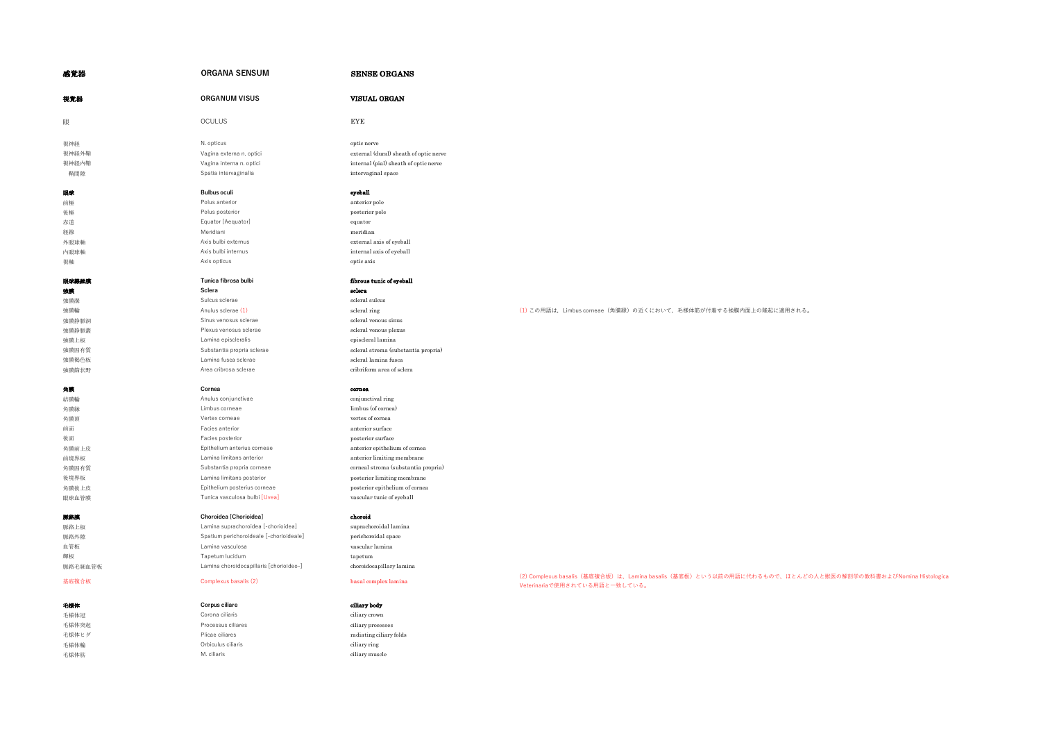| 感覚器     | <b>ORGANA SENSUM</b>                    |                                        |
|---------|-----------------------------------------|----------------------------------------|
| 視覚器     | <b>ORGANUM VISUS</b>                    | <b>VISUAL ORGAN</b>                    |
| 眼       | <b>OCULUS</b>                           | <b>EYE</b>                             |
| 視神経     | N. opticus                              | optic nerve                            |
| 視神経外鞘   | Vagina externa n. optici                | external (dural) sheath of optic nerve |
| 視神経内鞘   | Vagina interna n. optici                | internal (pial) sheath of optic nerve  |
| 鞘間隙     | Spatia intervaginalia                   | intervaginal space                     |
| 眼球      | <b>Bulbus oculi</b>                     | eyeball                                |
| 前極      | Polus anterior                          | anterior pole                          |
| 後極      | Polus posterior                         | posterior pole                         |
| 赤道      | Equator [Aequator]                      | equator                                |
| 経線      | Meridiani                               | meridian                               |
| 外眼球軸    | Axis bulbi externus                     | external axis of eyeball               |
| 内眼球軸    | Axis bulbi internus                     | internal axis of eyeball               |
| 視軸      | Axis opticus                            | optic axis                             |
| 眼球象維膜   | Tunica fibrosa bulbi                    | fibrous tunic of eyeball               |
| 独族      | Sclera                                  | sclera                                 |
| 強膜溝     | Sulcus sclerae                          | scleral sulcus                         |
| 強膜輪     | Anulus sclerae (1)                      | scleral ring                           |
| 強膜静脈洞   | Sinus venosus sclerae                   | scleral venous sinus                   |
| 強膜静脈叢   | Plexus venosus sclerae                  | scleral venous plexus                  |
| 強膜上板    | Lamina episcleralis                     | episcleral lamina                      |
| 強膜固有質   | Substantia propria sclerae              | scleral stroma (substantia propria)    |
| 強膜褐色板   | Lamina fusca sclerae                    | scleral lamina fusca                   |
| 強膜篩状野   | Area cribrosa sclerae                   | cribriform area of sclera              |
| 角膜      | Cornea                                  | cornea                                 |
| 結膜輪     | Anulus conjunctivae                     | conjunctival ring                      |
| 角膜緑     | Limbus corneae                          | limbus (of cornea)                     |
| 角膜頂     | Vertex corneae                          | vertex of cornea                       |
| 前面      | Facies anterior                         | anterior surface                       |
| 後面      | Facies posterior                        | posterior surface                      |
| 角膜前上皮   | Epithelium anterius corneae             | anterior epithelium of cornea          |
| 前境界板    | Lamina limitans anterior                | anterior limiting membrane             |
| 角膜固有質   | Substantia propria corneae              | corneal stroma (substantia propria)    |
| 後境界板    | Lamina limitans posterior               | posterior limiting membrane            |
| 角膜後上皮   | Epithelium posterius corneae            | posterior epithelium of cornea         |
| 眼球血管膜   | Tunica vasculosa bulbi [Uvea]           | vascular tunic of eyeball              |
| 脈絡膜     | Choroidea [Chorioidea]                  | choroid                                |
| 脈絡上板    | Lamina suprachoroidea [-chorioidea]     | suprachoroidal lamina                  |
| 脈絡外隙    | Spatium perichoroideale [-chorioideale] | perichoroidal space                    |
| 血管板     | Lamina vasculosa                        | vascular lamina                        |
| 輝板      | Tapetum lucidum                         | tapetum                                |
| 脈絡毛細血管板 | Lamina choroidocapillaris [chorioideo-] | choroidocapillary lamina               |
| 基底複合板   | Complexus basalis (2)                   | basal complex lamina                   |
| 毛様体     | <b>Corpus ciliare</b>                   | ciliary body                           |
| 毛様体冠    | Corona ciliaris                         | ciliary crown                          |
| 毛様体突起   | Processus ciliares                      | ciliary processes                      |
| 毛様体ヒダ   | Plicae ciliares                         | radiating ciliary folds                |

# (1)この用語は,Limbus corneae(角膜縁)の近くにおいて,毛様体筋が付着する強膜内面上の隆起に適用される。

# (2) Complexus basalis(基底複合板)は、Lamina basalis(基底板)という以前の用語に代わるもので、ほとんどの人と獣医の解剖学の教科書およびNomina Histologica 、<br>Veterinariaで使用されている用語と一致している。

毛様体輪 Orbiculus ciliaris ciliary ring 毛様体筋 **M. ciliaris** M. ciliaris **Communist Communist Communist Communist Communist Communist Communist Communist Communist Communist Communist Communist Communist Communist Communist Communist Communist Communist Communist**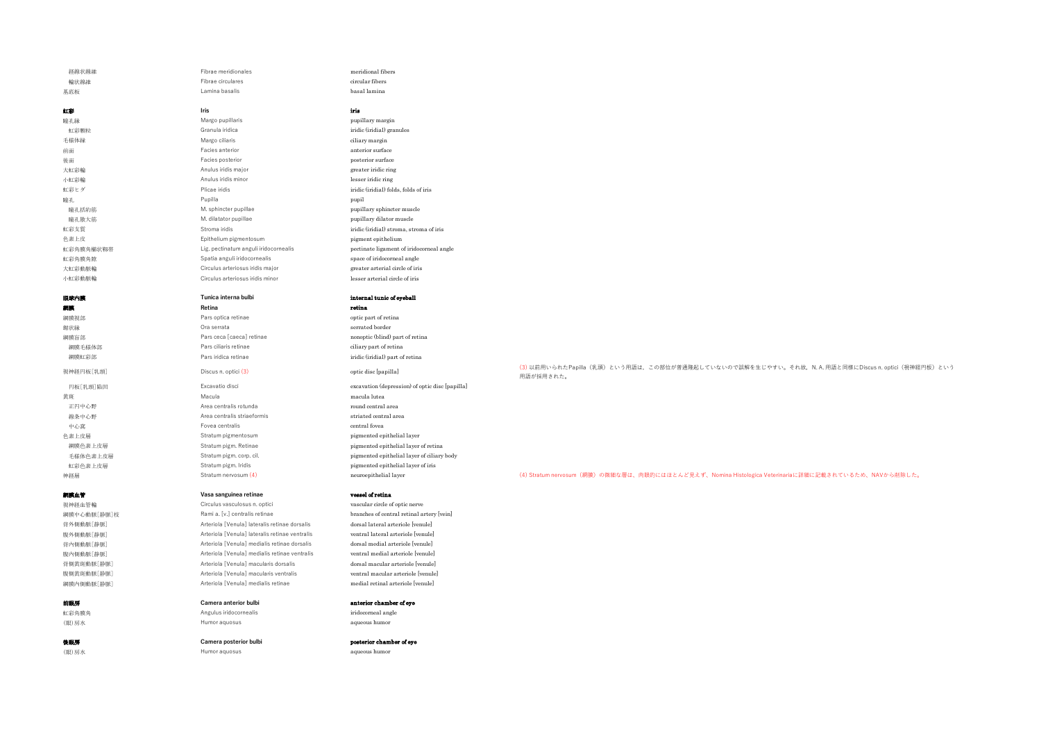虹彩 **Iris** iris 瞳孔縁 Margo pupillaris pupillary margin 虹彩顆粒 インタン Granula iridica indica indication in the first of the first of the first of the first of the first o 手様体縁 インタン Margo ciliaris インタン ciliary margin 前面 Facies anterior anterior surface **後面 ファントの Facies posterior からの Facies posterior surface** posterior surface 大虹彩輪 **Anulus iridis major** greater indic ring and the setter in the setter in the setter in the setter in the set 小虹彩輪 Anulus iridis minor lesser iridic ring 虹彩ヒダ Plicae iridis iridic (iridial) folds, folds of iris 瞳孔 Pupilla pupil 瞳孔括約筋 **manually and the muscle** M. sphincter pupillae **pupillary sphincter muscle**  瞳孔散大筋 M. dilatator pupillae pupillary dilator muscle 色素上皮 Epithelium pigmentosum pigment epithelium tri必有時有陰 Spatia anguli iridocornealis space of initial angle in intervention in the initial angle in the initial angle in the initial angle in the initial angle in the initial angle in the initial angle in the initial ang 大虹彩動脈輪 インフィン Circulus arteriosus iridis major the second greater arterial circle of iris 小虹彩動脈輪 Circulus arteriosus iridis minor lesser arterial circle of iris

網膜 **Retina** retina 網膜視部 Pars optica retinae optic part of retina **鋸状縁 Ora serrata serrated border** 網膜毛様体部 Pars ciliaris retinae ciliary part of retina

黃斑 Macula macula lutea 下円中心野 Area centralis rotunda 線条中心野 インコン Area centralis striaeformis インファイン striated central area 中心窩 Fovea centralis central fovea central fovea central fovea central for the central for the central for the c

### **網膜血管 Vasa sanguinea retinae vessel of retina**

視神経血管輪 Circulus vasculosus n. optici vascular circle of optic nerve<br>網聴中心動脈「静脈」は Rami a. [v.] centralis retinae brannel branches of central retinal a 網膜中心動脈[静脈]枝 Rami a. [v.] centralis retinae branches of central retinal artery [vein] 背外側動脈[静脈] <br>
Arteriola [Venula] lateralis retinae dorsalis dorsal lateral arteriole [venule] 腹外側動脈[静脈] Arteriola [Venula] lateralis retinae ventralis ventral lateral arteriole [venule] 背内側動脈[静脈] <br>
arteriola [Venula] medialis retinae dorsalis dorsal medial arteriole [venule] 腹内側動脈[静脈] Arteriola [Venula] medialis retinae ventralis ventral medial arteriole [venule] 背側黃斑動脈[静脈] <br>
Arteriola [Venula] macularis dorsalis dorsalis dorsal macular arteriole [venule] 腹側黄斑動脈[静脈] Arteriola [Venula] macularis ventralis ventral macular arteriole [venule]

# **前眼房 Camera anterior bulbi** anterior chamber of eye

虹彩角膜角 Angulus iridocornealis iridocorneal angle (眼)房水 Humor aquosus aqueous humor

(眼)房水 Humor aquosus aqueous humor

 経線状線維 Fibrae meridionales meridional fibers 基底板 Lamina basalis basal lamina

虹彩支質 Stroma iridis iridic (iridial) stroma, stroma of iris 虹彩角膜角櫛状靱帯 Lig. pectinatum anguli iridocornealis pectinate ligament of iridocorneal angle<br>fight and the Soatia anguli iridocornealis angle angle angle angle angle angle angle angle

## **眼球内障 Tunica interna bulbi internal tunic of eyeball**

- 
- 網膜盲部 Pars ceca [caeca] retinae nonoptic (blind) part of retina 網膜虹彩部 Pars iridica retinae iridic (iridial) part of retina

円板[乳頭]陥凹 Excavatio disci excavation (depression) of optic disc [papilla] 色素上皮層 Stratum pigmentosum pigmented epithelial layer 網膜色素上皮層 **Stratum pigm. Retinae** pigmented epithelial layer of retina 毛様体色素上皮層 Stratum pigm. corp. cil. pigmented epithelial layer of ciliary body 虹彩色素上皮層 Stratum pigm. Iridis pigmented epithelial layer of iris

網膜内側動脈[静脈] <br>Arteriola [Venula] medialis retinae medial retinal arteriole [venule]

### **後眼房 Camera posterior bulbi** posterior chamber of eye

視神経円板[乳頭] Discus n. optici (3) optic disc [papilla] つけidisc [papilla] くりの前用いられたPapilla(乳頭)という用語は,この部位が普通隆起していないので誤解を生じやすい。それ故,N. A. 用語と同様にDiscus n. optici(視神経円板)という 用語が採用された。

### 神経層 Stratum nervosum (4) neuroepithelial layer neuroepithelial layer (4) Stratum nervosum(網膜)の微細な層は、肉眼的にはほとんど見えず、Nomina Histologica Veterinariaに詳細に記載されているため、NAVから削除した。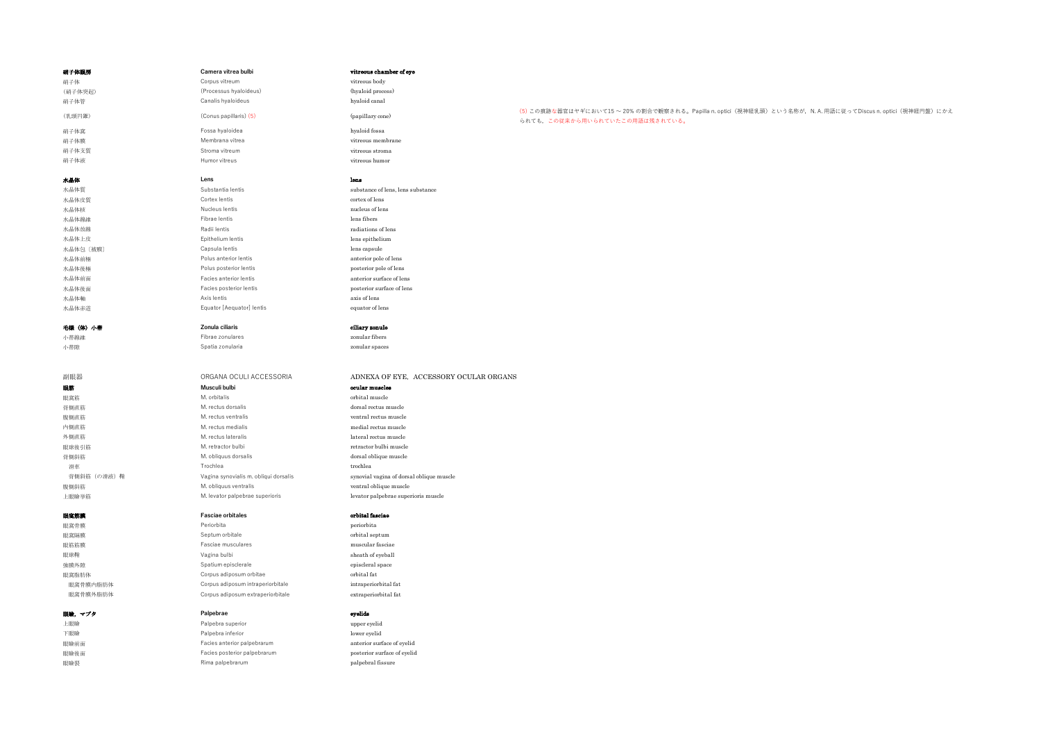| 硝子体眼房        | Camera vitrea bulbi                   | vitreous chamber of eye                  |                                                                                                                                               |
|--------------|---------------------------------------|------------------------------------------|-----------------------------------------------------------------------------------------------------------------------------------------------|
| 硝子体          | Corpus vitreum                        | vitreous body                            |                                                                                                                                               |
| (硝子体突起)      | (Processus hyaloideus)                | (hyaloid process)                        |                                                                                                                                               |
| 硝子体管         | Canalis hyaloideus                    | hyaloid canal                            |                                                                                                                                               |
| (乳頭円錐)       | (Conus papillaris) (5)                | (papillary cone)                         | (5) この痕跡な器官はヤギにおいて15~20%の割合で観察される。Papilla n. optici (視神経乳頭) という名称が、N. A. 用語に従ってDiscus n. optici (視神経円盤) にかえ<br>られても、この従来から用いられていたこの用語は残されている。 |
| 硝子体窩         | Fossa hyaloidea                       | hyaloid fossa                            |                                                                                                                                               |
| 硝子体膜         | Membrana vitrea                       | vitreous membrane                        |                                                                                                                                               |
| 硝子体支質        | Stroma vitreum                        | vitreous stroma                          |                                                                                                                                               |
| 硝子体液         | Humor vitreus                         | vitreous humor                           |                                                                                                                                               |
| 水晶体          | Lens                                  | lens                                     |                                                                                                                                               |
| 水晶体質         | Substantia lentis                     | substance of lens, lens substance        |                                                                                                                                               |
| 水晶体皮質        | Cortex lentis                         | cortex of lens                           |                                                                                                                                               |
| 水晶体核         | Nucleus lentis                        | nucleus of lens                          |                                                                                                                                               |
| 水晶体線維        | Fibrae lentis                         | lens fibers                              |                                                                                                                                               |
| 水晶体放線        | Radii lentis                          | radiations of lens                       |                                                                                                                                               |
| 水晶体上皮        | Epithelium lentis                     | lens epithelium                          |                                                                                                                                               |
| 水晶体包 〔被膜〕    | Capsula lentis                        | lens capsule                             |                                                                                                                                               |
| 水晶体前極        | Polus anterior lentis                 | anterior pole of lens                    |                                                                                                                                               |
| 水晶体後極        | Polus posterior lentis                | posterior pole of lens                   |                                                                                                                                               |
| 水晶体前面        | Facies anterior lentis                | anterior surface of lens                 |                                                                                                                                               |
| 水晶体後面        | Facies posterior lentis               | posterior surface of lens                |                                                                                                                                               |
| 水晶体軸         | Axis lentis                           | axis of lens                             |                                                                                                                                               |
| 水晶体赤道        | Equator [Aequator] lentis             | equator of lens                          |                                                                                                                                               |
| 毛様(体)小帯      | Zonula ciliaris                       | ciliary zonule                           |                                                                                                                                               |
| 小带線維         | Fibrae zonulares                      | zonular fibers                           |                                                                                                                                               |
| 小带隙          | Spatia zonularia                      | zonular spaces                           |                                                                                                                                               |
|              |                                       |                                          |                                                                                                                                               |
|              | ORGANA OCULI ACCESSORIA               | ADNEXA OF EYE, ACCESSORY OCULAR ORGANS   |                                                                                                                                               |
| 副眼器          | Musculi bulbi                         |                                          |                                                                                                                                               |
| 眼筋           | M. orbitalis                          | ocular muscles                           |                                                                                                                                               |
| 眼窩筋<br>背側直筋  | M. rectus dorsalis                    | orbital muscle<br>dorsal rectus muscle   |                                                                                                                                               |
| 腹側直筋         | M. rectus ventralis                   | ventral rectus muscle                    |                                                                                                                                               |
| 内侧直筋         | M. rectus medialis                    | medial rectus muscle                     |                                                                                                                                               |
| 外側直筋         | M. rectus lateralis                   | lateral rectus muscle                    |                                                                                                                                               |
| 眼球後引筋        | M. retractor bulbi                    | retractor bulbi muscle                   |                                                                                                                                               |
| 背側斜筋         | M. obliquus dorsalis                  | dorsal oblique muscle                    |                                                                                                                                               |
| 滑車           | Trochlea                              | trochlea                                 |                                                                                                                                               |
| 背側斜筋 (の滑液) 鞘 | Vagina synovialis m. obliqui dorsalis | synovial vagina of dorsal oblique muscle |                                                                                                                                               |
| 腹側斜筋         | M. obliquus ventralis                 | ventral oblique muscle                   |                                                                                                                                               |
| 上眼瞼挙筋        | M. levator palpebrae superioris       | levator palpebrae superioris muscle      |                                                                                                                                               |
| 眼窩筋膜         | <b>Fasciae orbitales</b>              | orbital fasciae                          |                                                                                                                                               |
| 眼窩骨膜         | Periorbita                            | periorbita                               |                                                                                                                                               |
| 眼窩隔膜         | Septum orbitale                       | orbital septum                           |                                                                                                                                               |
| 眼筋筋膜         | Fasciae musculares                    | muscular fasciae                         |                                                                                                                                               |
| 眼球鞘          | Vagina bulbi                          | sheath of eyeball                        |                                                                                                                                               |
| 強膜外隙         | Spatium episclerale                   | episcleral space                         |                                                                                                                                               |
| 眼窩脂肪体        | Corpus adiposum orbitae               | $\,$ orbital fat                         |                                                                                                                                               |
| 眼窩骨膜内脂肪体     | Corpus adiposum intraperiorbitale     | intraperiorbital fat                     |                                                                                                                                               |
| 眼窩骨膜外脂肪体     | Corpus adiposum extraperiorbitale     | extraperiorbital fat                     |                                                                                                                                               |
| 眼瞼,マブタ       | Palpebrae                             | eyelids                                  |                                                                                                                                               |
| 上眼瞼          | Palpebra superior                     | upper eyelid                             |                                                                                                                                               |

下眼瞼 **Palpebra inferior Community** Palpebra inferior 眼瞼前面 **Facies anterior palpebrarum anterior surface of eyelid** 眼瞼後面 Facies posterior palpebrarum posterior surface of eyelid 眼瞼裂 **Rima palpebrarum** Palpebrarum palpebral fissure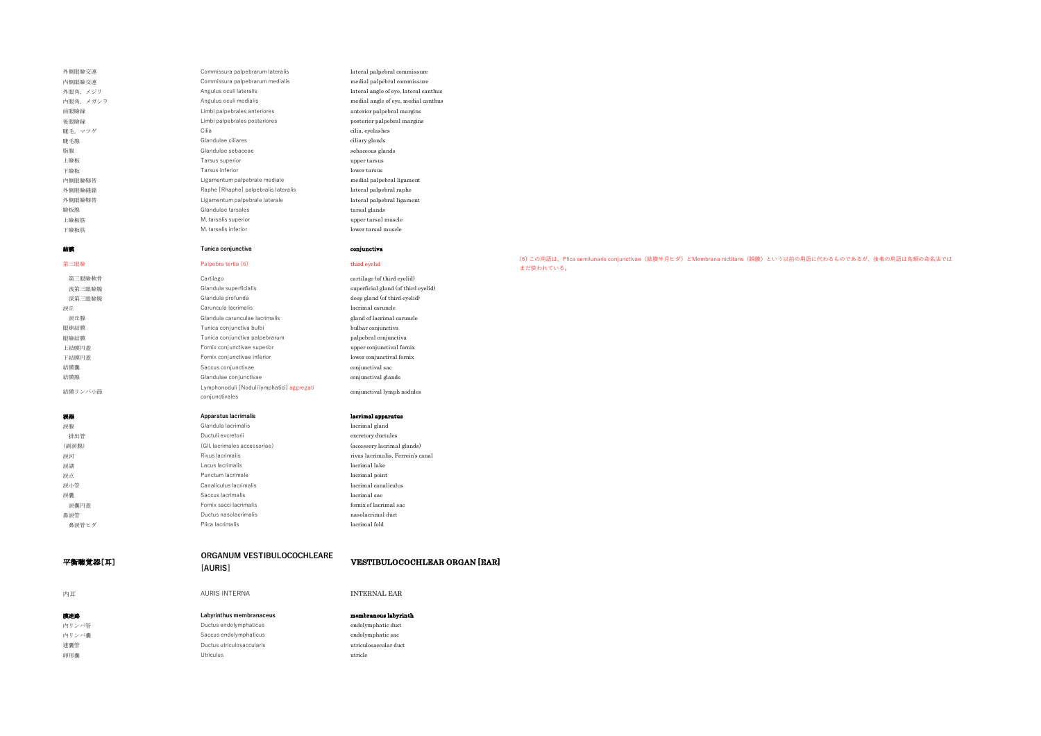| 外側眼瞼交連   | Commissura palpebrarum lateralis           | lateral palpebral commissure          |
|----------|--------------------------------------------|---------------------------------------|
| 内側眼瞼交連   | Commissura palpebrarum medialis            | medial palpebral commissure           |
| 外眼角、メジリ  | Angulus oculi lateralis                    | lateral angle of eye, lateral canthus |
| 内眼角、メガシラ | Angulus oculi medialis                     | medial angle of eye, medial canthus   |
| 前眼瞼縁     | Limbi palpebrales anteriores               | anterior palpebral margins            |
| 後眼瞼縁     | Limbi palpebrales posteriores              | posterior palpebral margins           |
| 睫毛, マツゲ  | Cilia                                      | cilia, eyelashes                      |
| 睫毛腺      | Glandulae ciliares                         | ciliary glands                        |
| 脂腺       | Glandulae sebaceae                         | sebaceous glands                      |
| 上瞼板      | Tarsus superior                            | upper tarsus                          |
| 下瞼板      | Tarsus inferior                            | lower tarsus                          |
| 内側眼瞼靱帯   | Ligamentum palpebrale mediale              | medial palpebral ligament             |
| 外側眼瞼縫線   | Raphe [Rhaphe] palpebralis lateralis       | lateral palpebral raphe               |
| 外側眼瞼靱帯   | Ligamentum palpebrale laterale             | lateral palpebral ligament            |
| 瞼板腺      | Glandulae tarsales                         | tarsal glands                         |
| 上瞼板筋     | M. tarsalis superior                       | upper tarsal muscle                   |
| 下瞼板筋     | M. tarsalis inferior                       | lower tarsal muscle                   |
| 結膜       | Tunica conjunctiva                         | conjunctiva                           |
| 第三眼瞼     | Palpebra tertia (6)                        | third eyelid                          |
| 第三眼瞼軟骨   | Cartilago                                  | cartilage (of third eyelid)           |
| 浅第三眼瞼腺   | Glandula superficialis                     | superficial gland (of third eyelid)   |
| 深第三眼瞼腺   | Glandula profunda                          | deep gland (of third eyelid)          |
| 涙丘       | Caruncula lacrimalis                       | lacrimal caruncle                     |
| 涙丘腺      | Glandula carunculae lacrimalis             | gland of lacrimal caruncle            |
| 眼球結膜     | Tunica conjunctiva bulbi                   | bulbar conjunctiva                    |
| 眼瞼結膜     | Tunica conjunctiva palpebrarum             | palpebral conjunctiva                 |
| 上結膜円蓋    | Fornix conjunctivae superior               | upper conjunctival fornix             |
| 下結膜円蓋    | Fornix conjunctivae inferior               | lower conjunctival fornix             |
| 結膜囊      | Saccus conjunctivae                        | conjunctival sac                      |
| 結膜腺      | Glandulae conjunctivae                     | conjunctival glands                   |
|          | Lymphonoduli [Noduli lymphatici] aggregati |                                       |
| 結膜リンパ小節  | conjunctivales                             | conjunctival lymph nodules            |
| 涙器       | <b>Apparatus lacrimalis</b>                | lacrimal apparatus                    |
| 涙腺       | Glandula lacrimalis                        | lacrimal gland                        |
| 排出管      | Ductuli excretorii                         | excretory ductules                    |
| (副涙腺)    | (GII. lacrimales accessoriae)              | (accessory lacrimal glands)           |
| 涙河       | Rivus lacrimalis                           | rivus lacrimalis, Ferrein's canal     |
| 涙湖       | Lacus lacrimalis                           | lacrimal lake                         |
| 涙点       | Punctum lacrimale                          | lacrimal point                        |
| 涙小管      | Canaliculus lacrimalis                     | lacrimal canaliculus                  |
| 涙囊       | Saccus lacrimalis                          | lacrimal sac                          |
| 涙囊円蓋     | Fornix sacci lacrimalis                    | fornix of lacrimal sac                |
| 鼻涙管      | Ductus nasolacrimalis                      | nasolacrimal duct                     |
| 鼻涙管ヒダ    | Plica lacrimalis                           | lacrimal fold                         |
|          | ORGANUM VESTIBULOCOCHLEARE                 |                                       |
| 平衡聴覚器[耳] | [AURIS]                                    | <b>VESTIBULOCOCHLEAR ORGAN [EAR]</b>  |
| 内耳       | <b>AURIS INTERNA</b>                       | <b>INTERNAL EAR</b>                   |

膜迷路 **Labyrinthus membranaceus** membranous labyrinth 内リンパ管 インタン Ductus endolymphaticus complexed and the endolymphatic duct 内リンパ囊 **saccus endolymphaticus** Saccus endolymphaticus endolymphatic sac 連囊管 Ductus utriculosaccularis utriculosaccular duct 卵形囊 **utricle** 

(6)この用語は、Plica semilunaris conjunctivae(結膜半月ヒダ)とMembrana nictitans(瞬膜)という以前の用語に代わるものであるが、後者の用語は鳥類の命名法では まだ使われている。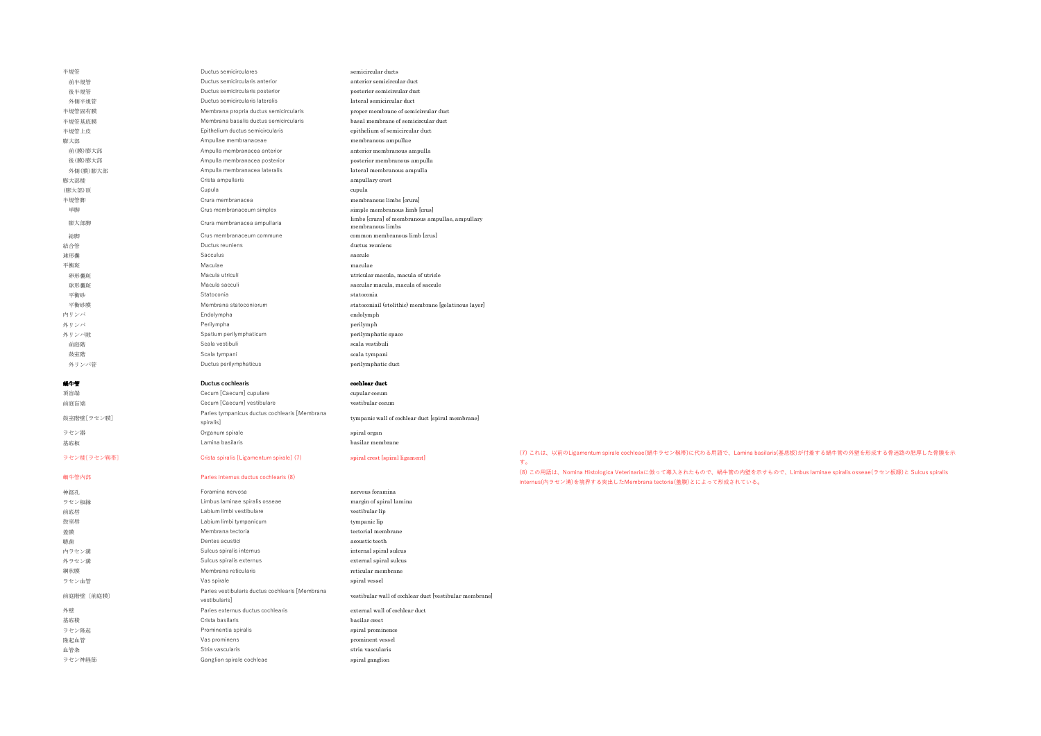| 半規管      | Ductus semicirculares                  | semicircular ducts                                                  |
|----------|----------------------------------------|---------------------------------------------------------------------|
| 前半規管     | Ductus semicircularis anterior         | anterior semicircular duct                                          |
| 後半規管     | Ductus semicircularis posterior        | posterior semicircular duct                                         |
| 外側半規管    | Ductus semicircularis lateralis        | lateral semicircular duct                                           |
| 半規管固有膜   | Membrana propria ductus semicircularis | proper membrane of semicircular duct                                |
| 半規管基底膜   | Membrana basalis ductus semicircularis | basal membrane of semicircular duct                                 |
| 半規管上皮    | Epithelium ductus semicircularis       | epithelium of semicircular duct                                     |
| 膨大部      | Ampullae membranaceae                  | membranous ampullae                                                 |
| 前(膜)膨大部  | Ampulla membranacea anterior           | anterior membranous ampulla                                         |
| 後(膜)膨大部  | Ampulla membranacea posterior          | posterior membranous ampulla                                        |
| 外側(膜)膨大部 | Ampulla membranacea lateralis          | lateral membranous ampulla                                          |
| 膨大部稜     | Crista ampullaris                      | ampullary crest                                                     |
| (膨大部)頂   | Cupula                                 | cupula                                                              |
| 半規管脚     | Crura membranacea                      | membranous limbs ferural                                            |
| 単脚       | Crus membranaceum simplex              | simple membranous limb [crus]                                       |
| 膨大部脚     | Crura membranacea ampullaria           | limbs [crura] of membranous ampullae, ampullary<br>membranous limbs |
| 総脚       | Crus membranaceum commune              | common membranous limb [crus]                                       |
| 結合管      | Ductus reuniens                        | ductus reuniens                                                     |
| 球形囊      | Sacculus                               | saccule                                                             |
| 平衡斑      | Maculae                                | maculae                                                             |
| 卵形囊斑     | Macula utriculi                        | utricular macula, macula of utricle                                 |
| 球形囊斑     | Macula sacculi                         | saccular macula, macula of saccule                                  |
| 平衡砂      | Statoconia                             | statoconia                                                          |
| 平衡砂膜     | Membrana statoconiorum                 | statoconiail (otolithic) membrane [gelatinous layer]                |
| 内リンパ     | Endolympha                             | endolymph                                                           |
| 外リンパ     | Perilympha                             | perilymph                                                           |
| 外リンパ隙    | Spatium perilymphaticum                | perilymphatic space                                                 |
| 前庭階      | Scala vestibuli                        | scala vestibuli                                                     |
| 鼓室階      | Scala tympani                          | scala tympani                                                       |
| 外リンパ管    | Ductus perilymphaticus                 | perilymphatic duct                                                  |
|          | <b>Ductus cochlearis</b>               | cochlear duct                                                       |
| 頂盲端      | Cecum [Caecum] cupulare                | cupular cecum                                                       |

前庭盲端 Cecum [Caecum] vestibulare vestibular cecum 鼓室階壁[ラセン膜] Paries tympanicus ductus cochlearis [Membrana tympanic wall of cochlear duct [spiral membrane] ラセン器 *Organum spirale* spiral organum spirale spiral organum spiral organum spiral organum spiral organum spiral organum spiral organum spiral organum spiral organum spiral organum spiral organum spiral organum spiral or 基底板 Lamina basilaris basilar membrane

| .         |                                                                 |                                                        |
|-----------|-----------------------------------------------------------------|--------------------------------------------------------|
| 神経孔       | Foramina nervosa                                                | nervous foramina                                       |
| ラセン板縁     | Limbus laminae spiralis osseae                                  | margin of spiral lamina                                |
| 前底唇       | Labium limbi vestibulare                                        | vestibular lip                                         |
| 鼓室唇       | Labium limbi tympanicum                                         | tympanic lip                                           |
| 蓋膜        | Membrana tectoria                                               | tectorial membrane                                     |
| 聴歯        | Dentes acustici                                                 | acoustic teeth                                         |
| 内ラセン溝     | Sulcus spiralis internus                                        | internal spiral sulcus                                 |
| 外ラセン溝     | Sulcus spiralis externus                                        | external spiral sulcus                                 |
| 網状膜       | Membrana reticularis                                            | reticular membrane                                     |
| ラセン血管     | Vas spirale                                                     | spiral vessel                                          |
| 前庭階壁〔前庭膜〕 | Paries vestibularis ductus cochlearis [Membrana<br>vestibularis | vestibular wall of cochlear duct [vestibular membrane] |
| 外壁        | Paries externus ductus cochlearis                               | external wall of cochlear duct                         |
| 基底稜       | Crista basilaris                                                | basilar crest                                          |
| ラセン降起     | Prominentia spiralis                                            | spiral prominence                                      |
| 隆起血管      | Vas prominens                                                   | prominent vessel                                       |
| 血管条       | Stria vascularis                                                | stria vascularis                                       |
| ラセン神経節    | Ganglion spirale cochleae                                       | spiral ganglion                                        |
|           |                                                                 |                                                        |

ラセン稜[ラセン靱帯] Crista spiralis [Ligamentum spirale] (7) spiral crest [spiral igament] (7) これは、以前のLigamentum spirale cochleae(蝸牛ラセン靱帯)に代わる用語で、Lamina basilaris(基底板)が付着する蝸牛管の外壁を形成する骨迷路の肥厚した骨膜を示 す。

蝸牛管内部 Paries internus ductus cochlearis (8) (8) この⽤語は、Nomina Histologica Veterinariaに倣って導⼊されたもので、蝸⽜管の内壁を⽰すもので、Limbus laminae spiralis osseae(ラセン板縁)と Sulcus spiralis internus(内ラセン溝)を境界する突出したMembrana tectoria(蓋膜)とによって形成されている。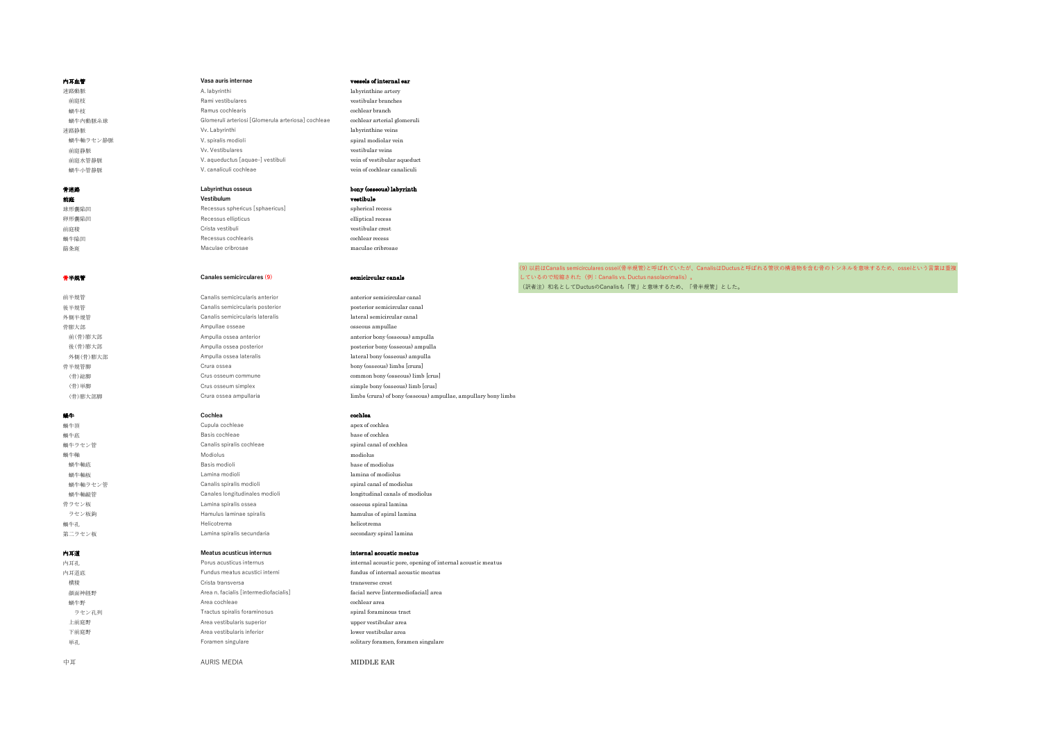| 内耳血管     | Vasa auris internae                                        | vessels of internal ear                                        |                                                                                                           |
|----------|------------------------------------------------------------|----------------------------------------------------------------|-----------------------------------------------------------------------------------------------------------|
| 迷路動脈     | A. labyrinthi                                              | labyrinthine artery                                            |                                                                                                           |
| 前庭枝      | Rami vestibulares                                          | vestibular branches                                            |                                                                                                           |
| 蝸牛枝      | Ramus cochlearis                                           | cochlear branch                                                |                                                                                                           |
| 蝸牛内動脈糸球  | Glomeruli arteriosi [Glomerula arteriosa] cochleae         | cochlear arterial glomeruli                                    |                                                                                                           |
| 迷路静脈     | Vv. Labyrinthi                                             | labyrinthine veins                                             |                                                                                                           |
| 蝸牛軸ラセン静脈 | V. spiralis modioli                                        | spiral modiolar vein                                           |                                                                                                           |
| 前庭静脈     | Vv. Vestibulares                                           | vestibular veins                                               |                                                                                                           |
| 前庭水管静脈   | V. aqueductus [aquae-] vestibuli                           | vein of vestibular aqueduct                                    |                                                                                                           |
| 蝸牛小管静脈   | V. canaliculi cochleae                                     | vein of cochlear canaliculi                                    |                                                                                                           |
|          |                                                            |                                                                |                                                                                                           |
| 骨迷路      | Labyrinthus osseus                                         | bony (osseous) labyrinth                                       |                                                                                                           |
| 前庭       | Vestibulum                                                 | vestibule                                                      |                                                                                                           |
| 球形囊陥凹    | Recessus sphericus [sphaericus]                            | spherical recess                                               |                                                                                                           |
| 卵形囊陥凹    | Recessus ellipticus                                        | elliptical recess                                              |                                                                                                           |
| 前庭稜      | Crista vestibuli                                           | vestibular crest                                               |                                                                                                           |
| 蝸牛陥凹     | Recessus cochlearis                                        | cochlear recess                                                |                                                                                                           |
| 篩条斑      | Maculae cribrosae                                          | maculae cribrosae                                              |                                                                                                           |
|          |                                                            |                                                                |                                                                                                           |
|          |                                                            |                                                                | (9) 以前はCanalis semicirculares ossei(骨半規管)と呼ばれていたが、CanalisはDuctusと呼ばれる管状の構造物を含む骨のトンネルを意味するため、osseiという言葉は重複 |
| 骨半規管     | Canales semicirculares (9)                                 | semicircular canals                                            | しているので短縮された(例:Canalis vs. Ductus nasolacrimalis)。                                                         |
|          |                                                            |                                                                | (訳者注)和名としてDuctusのCanalisも「管」と意味するため、「骨半規管」とした。                                                            |
| 前半規管     | Canalis semicircularis anterior                            | anterior semicircular canal                                    |                                                                                                           |
| 後半規管     | Canalis semicircularis posterior                           | posterior semicircular canal                                   |                                                                                                           |
| 外側半規管    | Canalis semicircularis lateralis                           | lateral semicircular canal                                     |                                                                                                           |
| 骨膨大部     | Ampullae osseae                                            | osseous ampullae                                               |                                                                                                           |
| 前(骨)膨大部  | Ampulla ossea anterior                                     | anterior bony (osseous) ampulla                                |                                                                                                           |
| 後(骨)膨大部  | Ampulla ossea posterior                                    | posterior bony (osseous) ampulla                               |                                                                                                           |
| 外側(骨)膨大部 | Ampulla ossea lateralis                                    | lateral bony (osseous) ampulla                                 |                                                                                                           |
| 骨半規管脚    | Crura ossea                                                | bony (osseous) limbs [crura]                                   |                                                                                                           |
| (骨)総脚    | Crus osseum commune                                        | common bony (osseous) limb [crus]                              |                                                                                                           |
| (骨)単脚    | Crus osseum simplex                                        | simple bony (osseous) limb [crus]                              |                                                                                                           |
| (骨)膨大部脚  | Crura ossea ampullaria                                     | limbs (crura) of bony (osseous) ampullae, ampullary bony limbs |                                                                                                           |
|          |                                                            |                                                                |                                                                                                           |
| 编牛       | Cochlea                                                    | cochlea                                                        |                                                                                                           |
| 蝸牛頂      | Cupula cochleae                                            | apex of cochlea                                                |                                                                                                           |
| 蝸牛底      | Basis cochleae                                             | base of cochlea                                                |                                                                                                           |
| 蝸牛ラセン管   | Canalis spiralis cochleae                                  | spiral canal of cochlea                                        |                                                                                                           |
| 蝸牛軸      | Modiolus                                                   | modiolus                                                       |                                                                                                           |
| 蝸牛軸底     | Basis modioli                                              | base of modiolus                                               |                                                                                                           |
| 蝸牛軸板     | Lamina modioli                                             | lamina of modiolus                                             |                                                                                                           |
| 蝸牛軸ラセン管  | Canalis spiralis modioli                                   | spiral canal of modiolus                                       |                                                                                                           |
| 蝸牛軸縦管    | Canales longitudinales modioli                             | longitudinal canals of modiolus                                |                                                                                                           |
| 骨ラセン板    | Lamina spiralis ossea                                      | osseous spiral lamina                                          |                                                                                                           |
| ラセン板鉤    | Hamulus laminae spiralis                                   | hamulus of spiral lamina                                       |                                                                                                           |
| 蝸牛孔      | Helicotrema                                                | helicotrema                                                    |                                                                                                           |
| 第二ラセン板   | Lamina spiralis secundaria                                 | secondary spiral lamina                                        |                                                                                                           |
|          | Meatus acusticus internus                                  |                                                                |                                                                                                           |
| 内耳道      |                                                            | internal acoustic meatus                                       |                                                                                                           |
| 内耳孔      | Porus acusticus internus<br>Fundus meatus acustici interni | internal acoustic pore, opening of internal acoustic meatus    |                                                                                                           |
| 内耳道底     |                                                            | fundus of internal acoustic meatus                             |                                                                                                           |
| 横稜       | Crista transversa                                          | transverse crest                                               |                                                                                                           |
| 顔面神経野    | Area n. facialis [intermediofacialis]                      | facial nerve [intermediofacial] area                           |                                                                                                           |
| 蝸牛野      | Area cochleae                                              | cochlear area                                                  |                                                                                                           |
| ラセン孔列    | Tractus spiralis foraminosus                               | spiral foraminous tract                                        |                                                                                                           |
| 上前庭野     | Area vestibularis superior                                 | upper vestibular area                                          |                                                                                                           |
| 下前庭野     | Area vestibularis inferior                                 | lower vestibular area                                          |                                                                                                           |
| 単孔       | Foramen singulare                                          | solitary foramen, foramen singulare                            |                                                                                                           |
|          |                                                            |                                                                |                                                                                                           |
| 中耳       | <b>AURIS MEDIA</b>                                         | MIDDLE EAR                                                     |                                                                                                           |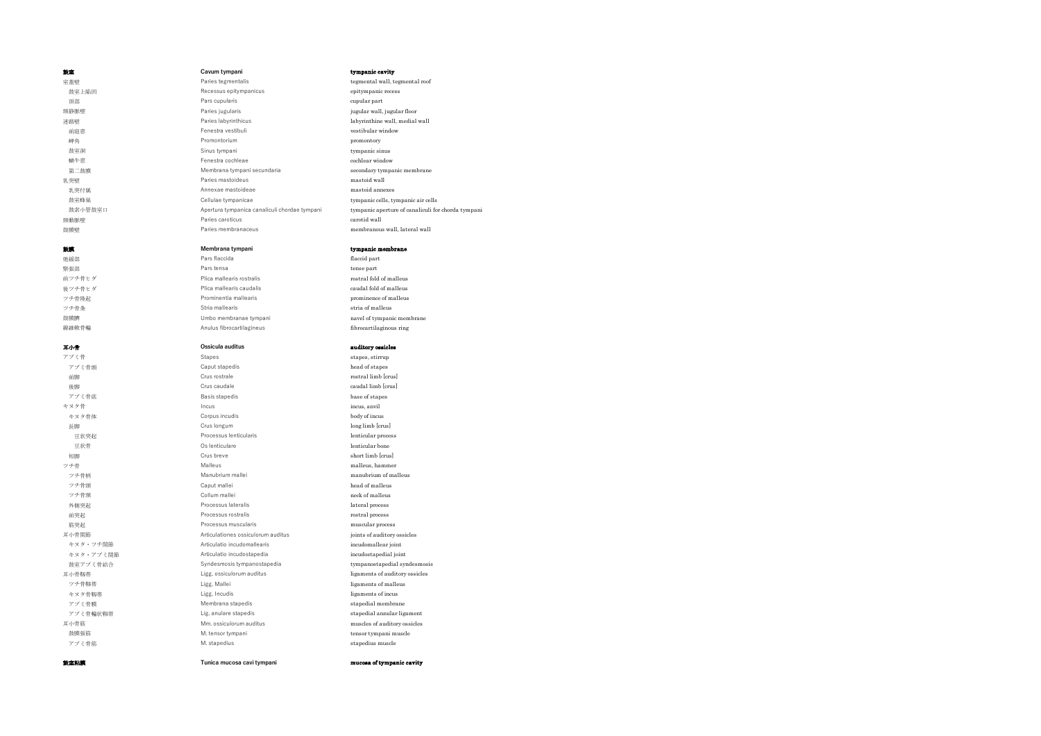| 鼓室           | Cavum tympani                                 | tympanic cavity                  |
|--------------|-----------------------------------------------|----------------------------------|
| 室蓋壁          | Paries tegmentalis                            | tegmental wall, tegmental roof   |
| 鼓室上陥凹        | Recessus epitympanicus                        | epitympanic recess               |
| 頂部           | Pars cupularis                                | cupular part                     |
| 頸静脈壁         | Paries jugularis                              | jugular wall, jugular floor      |
| 迷路壁          | Paries labyrinthicus                          | labyrinthine wall, medial wall   |
| 前庭窓          | Fenestra vestibuli                            | vestibular window                |
| 岬角           | Promontorium                                  | promontory                       |
| 鼓室洞          | Sinus tympani                                 | tympanic sinus                   |
| 蝸牛窓          | Fenestra cochleae                             | cochlear window                  |
| 第二鼓膜         | Membrana tympani secundaria                   | secondary tympanic membrane      |
| 乳突壁          | Paries mastoideus                             | mastoid wall                     |
| 乳突付属         | Annexae mastoideae                            | mastoid annexes                  |
| 鼓室蜂巢         | Cellulae tympanicae                           | tympanic cells, tympanic air cel |
| 鼓索小管鼓室口      | Apertura tympanica canaliculi chordae tympani | tympanic aperture of canaliculi  |
| 頸動脈壁         | Paries caroticus                              | carotid wall                     |
| A R. HARLAND |                                               |                                  |

| Recessus epitymp    |
|---------------------|
| Pars cupularis      |
| Paries jugularis    |
| Paries labyrinthicu |
| Fenestra vestibuli  |
| Promontorium        |
| Sinus tympani       |
| Fenestra cochleae   |
| Membrana tympa      |
| Paries mastoideu:   |
| Annexae mastoid     |
| Cellulae tympanic   |
| Apertura tympanio   |
| Paries caroticus    |
| Paries membrana     |
|                     |

**鼓膜 またり しゅうしょう せいきょう Membrana tympani** the three managements tymp**anic membrane**<br>- Pars flaccida three parts of the flaced of the flaced part 弛緩部 Rang of the Colombia of the Colombia of the Pars flaccida flaction of the flaccid part of the flaccid part **緊張部 Pars tensa tense part for the part of the control of the control of the control of the control of the control of the control of the control of the control of the control of the control of the control of the control o** 前ツチ骨ヒダ Plica mallearis rostralis rostral manufacture rostral fold of malleus<br>インチ骨ヒダ Plica mallearis caudalis rostral product roundal fold of malleus 後ツチ骨ヒダ Plica mallearis caudalis ツチ骨隆起 インファイン Prominentia mallearis インファイン prominence of malleus ツチ骨条 **Stria mallearis stria of malleus** Stria mallearis stria of malleus 鼓膜臍 Umbo membranae tympani navel of tympanic membrane 線維軟骨輪 Anulus fibrocartilagineus fibrocartilaginous ring

キヌタ骨体 **Corpus incudis** 

 鼓室上陥凹 Recessus epitympanicus epitympanic recess 頸静脈壁 Paries jugularis jugular wall, jugular floor 米路壁 Paries labyrinthicus labyrinthicus labyrinthine wall, medial wall, medial wall, medial wall, medial wall, medial wall, medial wall, medial wall, medial wall, medial wall, medial wall, medial wall, medial wall, medial **岬角 ファイル アromontorium アromontory ア**romontory からのある しょうしゃ しょうしゃ しょうしゃ しょうしゃ 乳突壁 Paries mastoideus mastoid wall 乳突付属 Annexae mastoideae mastoid annexes 頸動脈壁 Paries caroticus carotid wall 鼓膜壁 Paries membranaceus membranous wall, lateral wall

cupular part vestibular window tympanic sinus cochlear window ani secundaria **tympani secondary tympanic membrane** cae tympanic cells, tympanic air cells ica canaliculi chordae tympani tympanic aperture of canaliculi for chorda tympani

### 耳小骨 **Ossicula auditus** auditory ossicles

アブミ骨 **Stapes** Stapes Stapes stirrup アブミ骨頭 **Caput stapedis** caput stapedis head of stapes 前脚 Crus rostrale rostral limb [crus] 後脚 Crus caudale **caudal caudal caudal** limb [crus] アブミ骨底 Basis stapedis Basis stapedis base of stapes キヌタ骨 Incus<br>キヌタ骨化 Incus incursion of the Incursion of the Incursion of the Incursion of the Incursion of the Incursion of the Incursion of the Incursion of the Incursion of the Incursion of the Incursion of the Incursion 長脚 **Crus longum Crus longum Crus long limb** [crus] 豆状突起 **Processus lenticularis** and the processus lenticularis and the lenticular process 豆状骨 **Os lenticulare and Os lenticular bone lenticular bone** 短脚 Grus breve short limb [crus] ツチ骨 Malleus Malleus malleus, hammer malleus, hammer ツチ骨柄 Manubrium mallei manubrium manubrium of malleus ツチ骨頭 **Caput mallei** Caput mallei head of malleus ツチ骨頸 **collum mallei** collum mallei neck of malleus 外側突起 **Processus lateralis Processus lateralis lateral** process 前突起 Processus rostralis rostral process 筋突起 Processus muscularis muscular process 耳小骨関節 Articulationes ossiculorum auditus joints of auditory ossicles キヌタ・ツチ関節 およびの Articulatio incudomallearis incudomallear joint キヌタ・アブミ関節 Articulatio incudostapedia incudostapedial joint 鼓室アブミ骨結合 Syndesmosis tympanostapedia tympanostapedial syndesmosis エ小骨靱帯 Rigg. ossiculorum auditus ligaments of auditory ossicles<br>- ツチ骨靱帯 - Ligg. Mallei - Ligg. Mallei - ligaments of malleus ツチ骨靱帯 **Ligg. Mallei** ligaments of malleus ligaments of malleus キヌタ骨靱帯 *Ligg. Incudis* Ligaments of incus アブミ骨膜 Membrana stapedis stapedial membrane stapedial membrane アブミ骨輪状靱帯 *Lig. anulare stapedis* stapedial annular ligament 耳小骨筋 Mm. ossiculorum auditus muscles of auditory ossicles 鼓膜張筋 M. tensor tympani tensor tympani muscle アブミ骨筋 **M. stapedius** M. stapedius **M. stapedius** stapedius muscle 鼓室粘膜 **Tunica mucosa cavi tympani** mucosa of tympanic cavity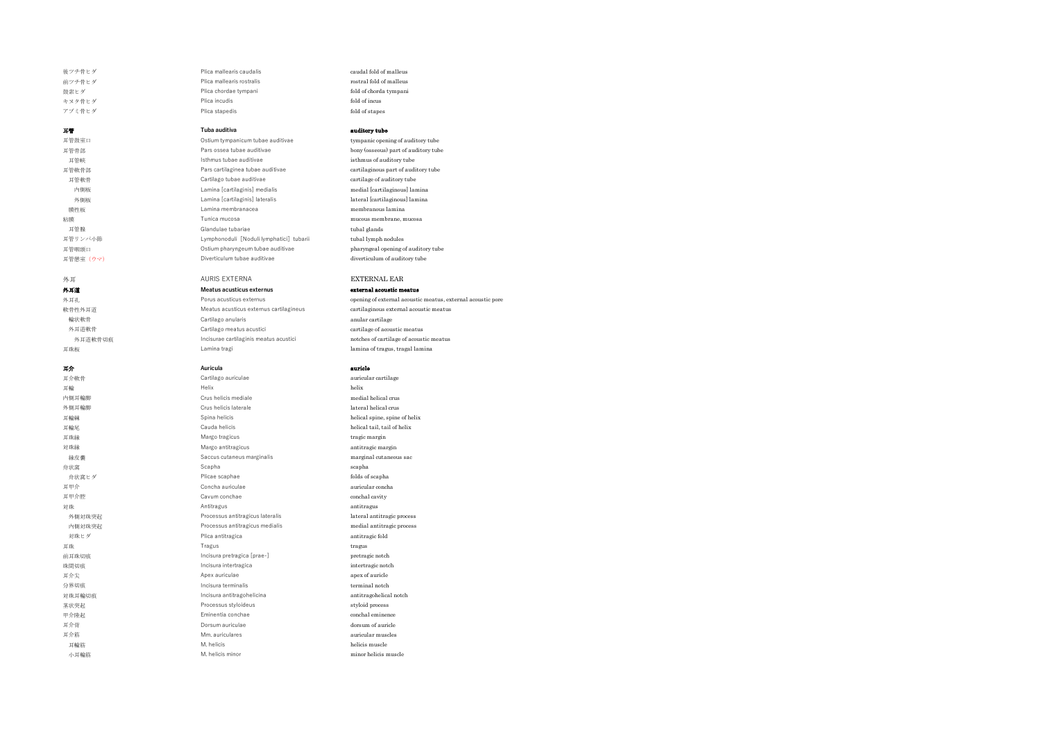外耳道 **Meatus acusticus externus** external acoustic meatus

後ツチ骨ヒダ Plica mallearis caudalis caudal fold of malleus caudal fold of malleus 前ツチ骨ヒダ Plica mallearis rostralis rostral fold of malleus ままトダ アlica chordae tympani fold of chorda tympani fold of chorda tympani キヌタ骨ヒダ Plica incudis fold of incus アブミ骨ヒダ Plica stapedis https://www.fold of stapes.com/

### **耳管 Tuba auditiva auditory tube**

耳管鼓室口 Ostium tympanicum tubae auditivae tympanic opening of auditory tube 耳管骨部 Pars ossea tubae auditivae bony (osseous) part of auditory tube 耳管峡 Isthmus tubae auditivae isthmus of auditory tube 耳管軟骨部 Pars cartilaginea tubae auditivae cartilaginous part of auditory tube 耳管軟骨 Cartilago tubae auditivae cartilage of auditory tube 内側板 Lamina [cartilaginis] medialis medial [cartilaginous] lamina 外側板 Lamina [cartilaginis] lateralis lateral [cartilaginous] lamina 膜性板 Lamina membranacea membranous lamina **入口**<br>本地震 mucous membrane, mucosa mucosa mucosa mucosa mucosa mucosa mucosa mucosa mucosa mucosa mucosa mucosa mucosa 耳管腺 Glandulae tubariae tubal glands 耳管リンパ小節 Lymphonoduli[Noduli lymphatici]tubarii tubal lymph nodules 耳管咽頭口 Ostium pharyngeum tubae auditivae pharyngeal opening of auditory tube 耳管憩室(ウマ) Diverticulum tubae auditivae diverticulum of auditory tube

# 外耳 インタイム AURIS EXTERNA AURIS EXTERNAL EAR

外耳孔 Porus acusticus externus commenced acoustic meatus, external acoustic meatus, external acoustic pore 軟骨性外耳道 Meatus acusticus externus cartilagineus cartilaginous external acoustic meatus 輪状軟骨 Cartilago anularis anular cartilage 外耳道軟骨 Cartilago meatus acustici cartilage of acoustic meatus cartilage of acoustic meatus 外耳道軟骨切痕 Incisurae cartilaginis meatus acustici notches of cartilage of acoustic meatus notches of cartilage of acoustic meatus 耳珠板 Lamina tragi lamina of tragus, tragal lamina

### **耳介 Auricula auricle**

耳介軟骨 **cartilago auriculae** auriculae auricular cartilage auricular cartilage auricular cartilage au 耳輪 インタン しゅうしょう せいしょう せいしん せいしゅうしゅん せいしゅん しゅうしゅん しゅうしゅん あいしゅうしゅん しゅうしゅうしゅうしゅうしゅうしゅうしゅうしゅ 内側耳輪脚 Crus helicis mediale medial helical crus 外側耳輪脚 Research Crus helicis laterale lateral helical crus helicis lateral helical crus 耳輪棘 Spina helicis helical spine, spine of helix 耳輪尾 Cauda helicis helical tail, tail of helix 耳珠縁 Margo tragicus tragic margin 対珠縁 Margo antitragicus antitragic margin 縁皮囊 Saccus cutaneus marginalis marginal cutaneous sac 舟状窩 おおところ おおし しょうしょう Scapha ちょうしょう こうしょう おおとこ scapha おおところ おおところ おおところ おおところ おおところ おおところ おおところ おおところ おおところ おおところ <del>舟状</del>窩ヒダ **Follow Seaphae Follow Plicae scaphae folds of scaphae folds** of scapha 耳甲介 Concha auriculae auricular concha 耳甲介腔 **Cavum conchae** conchal cavity 対珠 Antitragus antitragus 外側対珠突起 インディング Processus antitragicus lateralis deteralis lateral antitragic process 内側対珠突起 Processus antitragicus medialis medial antitragic process 対珠ヒダ Plica antitragica antitragic fold 耳珠 Tragus tragus 前耳珠切痕 **Incisura pretragica [prae-]** pretragic notch 珠間切痕 *Incisura intertragica* intertragional intertragional intertragional intertragional intertragional intertragional intertragional intertragional intertragional intertragional intertragional intertragional intertragion 耳介尖 **Apex auriculae apex of auricle** 分界切痕 Incisura terminalis terminal notch 対珠耳輪切痕 Incisura antitragohelicina antitragohelical notch 茎状突起 *Processus styloideus* Processus styloideus 甲介隆起 Eminentia conchae conchal eminence 耳介背 Dorsum auriculae dorsum of auricle 耳介筋 Mm. auriculares auricular muscles 耳輪筋 M. helicis helicis helicis muscle is the muscle of the muscle in the muscle is the muscle of the muscle in 小耳輪筋 M. helicis minor minor minor minor minor minor helicis muscle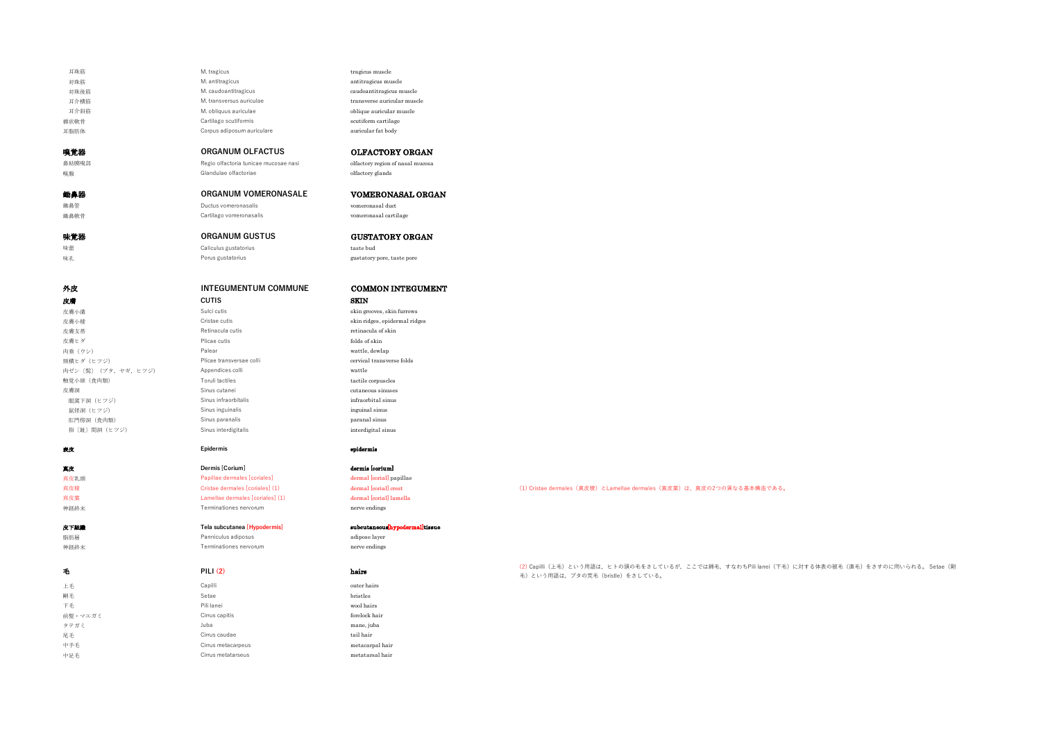| 耳珠筋                   | M. tragicus                             | tragicus muscle                     |                                                                                                                                            |
|-----------------------|-----------------------------------------|-------------------------------------|--------------------------------------------------------------------------------------------------------------------------------------------|
| 対珠筋                   | M. antitragicus                         | antitragicus muscle                 |                                                                                                                                            |
| 対珠後筋                  | M. caudoantitragicus                    | caudoantitragicus muscle            |                                                                                                                                            |
| 耳介横筋                  | M. transversus auriculae                | transverse auricular muscle         |                                                                                                                                            |
| 耳介斜筋                  | M. obliquus auriculae                   | oblique auricular muscle            |                                                                                                                                            |
| 楯状軟骨                  | Cartilago scutiformis                   | scutiform cartilage                 |                                                                                                                                            |
| 耳脂肪体                  | Corpus adiposum auriculare              | auricular fat body                  |                                                                                                                                            |
|                       |                                         |                                     |                                                                                                                                            |
| 嗅覚器                   | ORGANUM OLFACTUS                        | <b>OLFACTORY ORGAN</b>              |                                                                                                                                            |
| 鼻粘膜嗅部                 | Regio olfactoria tunicae mucosae nasi   | olfactory region of nasal mucosa    |                                                                                                                                            |
| 嗅腺                    | Glandulae olfactoriae                   | olfactory glands                    |                                                                                                                                            |
| 鋤鼻器                   | ORGANUM VOMERONASALE                    | VOMERONASAL ORGAN                   |                                                                                                                                            |
| 鋤鼻管                   | Ductus vomeronasalis                    | vomeronasal duct                    |                                                                                                                                            |
| 鋤鼻軟骨                  | Cartilago vomeronasalis                 | vomeronasal cartilage               |                                                                                                                                            |
|                       |                                         |                                     |                                                                                                                                            |
| 味覚器                   | <b>ORGANUM GUSTUS</b>                   | <b>GUSTATORY ORGAN</b>              |                                                                                                                                            |
| 味蕾                    | Caliculus gustatorius                   | taste bud                           |                                                                                                                                            |
| 味孔                    | Porus gustatorius                       | gustatory pore, taste pore          |                                                                                                                                            |
|                       |                                         |                                     |                                                                                                                                            |
|                       |                                         |                                     |                                                                                                                                            |
| 外皮                    | <b>INTEGUMENTUM COMMUNE</b>             | <b>COMMON INTEGUMENT</b>            |                                                                                                                                            |
| 皮膚                    | <b>CUTIS</b>                            | <b>SKIN</b>                         |                                                                                                                                            |
| 皮膚小溝                  | Sulci cutis                             | skin grooves, skin furrows          |                                                                                                                                            |
| 皮膚小稜                  | Cristae cutis                           | skin ridges, epidermal ridges       |                                                                                                                                            |
| 皮膚支帯                  | Retinacula cutis                        | retinacula of skin                  |                                                                                                                                            |
| 皮膚ヒダ                  | Plicae cutis                            | folds of skin                       |                                                                                                                                            |
| 肉垂 (ウシ)               | Palear                                  | wattle, dewlap                      |                                                                                                                                            |
| 頸横ヒダ (ヒツジ)            | Plicae transversae colli                | cervical transverse folds           |                                                                                                                                            |
| 肉ゼン [髯] (ブタ, ヤギ, ヒツジ) | Appendices colli                        | wattle                              |                                                                                                                                            |
| 触覚小球 (食肉類)            | Toruli tactiles                         | tactile corpuscles                  |                                                                                                                                            |
| 皮膚洞                   | Sinus cutanei                           | $cutaneous \, \,sinuses$            |                                                                                                                                            |
| 眼窩下洞 (ヒツジ)            | Sinus infraorbitalis                    | infraorbital sinus                  |                                                                                                                                            |
| 鼠径洞 (ヒツジ)             | Sinus inguinalis                        | inguinal sinus                      |                                                                                                                                            |
| 肛門傍洞 (食肉類)            | Sinus paranalis<br>Sinus interdigitalis | paranal sinus<br>interdigital sinus |                                                                                                                                            |
| 指〔趾〕間洞(ヒツジ)           |                                         |                                     |                                                                                                                                            |
| 表皮                    | Epidermis                               | epidermis                           |                                                                                                                                            |
|                       |                                         |                                     |                                                                                                                                            |
| 真皮                    | Dermis [Corium]                         | dermis [corium]                     |                                                                                                                                            |
| 真皮乳頭                  | Papillae dermales [coriales]            | dermal [corial] papillae            |                                                                                                                                            |
| 真皮稜                   | Cristae dermales [coriales] (1)         | dermal [corial] crest               | (1) Cristae dermales (真皮稜) とLamellae dermales (真皮葉) は、真皮の2つの異なる基本構造である。                                                                    |
| 真皮葉                   | Lamellae dermales [coriales] (1)        | dermal [corial] lamella             |                                                                                                                                            |
| 神経終末                  | Terminationes nervorum                  | nerve endings                       |                                                                                                                                            |
| 皮下組織                  | Tela subcutanea [Hypodermis]            | subcutanecushypodermalitissue       |                                                                                                                                            |
| 脂肪層                   | Panniculus adiposus                     | adipose layer                       |                                                                                                                                            |
| 神経終末                  | Terminationes nervorum                  | nerve endings                       |                                                                                                                                            |
|                       |                                         |                                     |                                                                                                                                            |
| 毛                     | PILI $(2)$                              | hairs                               | (2) Capilli (上毛) という用語は、ヒトの頭の毛をさしているが、ここでは綿毛, すなわちPili lanei (下毛) に対する体表の被毛 (直毛) をさすのに用いられる。 Setae (剛<br>毛) という用語は、ブタの荒毛 (bristle) をさしている。 |
| 上毛                    | Capilli                                 | outer hairs                         |                                                                                                                                            |
| 剛毛                    | Setae                                   | bristles                            |                                                                                                                                            |
| 下毛                    | Pili lanei                              | wool hairs                          |                                                                                                                                            |
| 前髪・マエガミ               | Cirrus capitis                          | forelock hair                       |                                                                                                                                            |
| タテガミ                  | Juba                                    | mane, juba                          |                                                                                                                                            |
| 尾毛                    | Cirrus caudae                           | tail hair                           |                                                                                                                                            |
| 中手毛                   | Cirrus metacarpeus                      | metacarpal hair                     |                                                                                                                                            |
| 中足毛                   | Cirrus metatarseus                      | metatarsal hair                     |                                                                                                                                            |
|                       |                                         |                                     |                                                                                                                                            |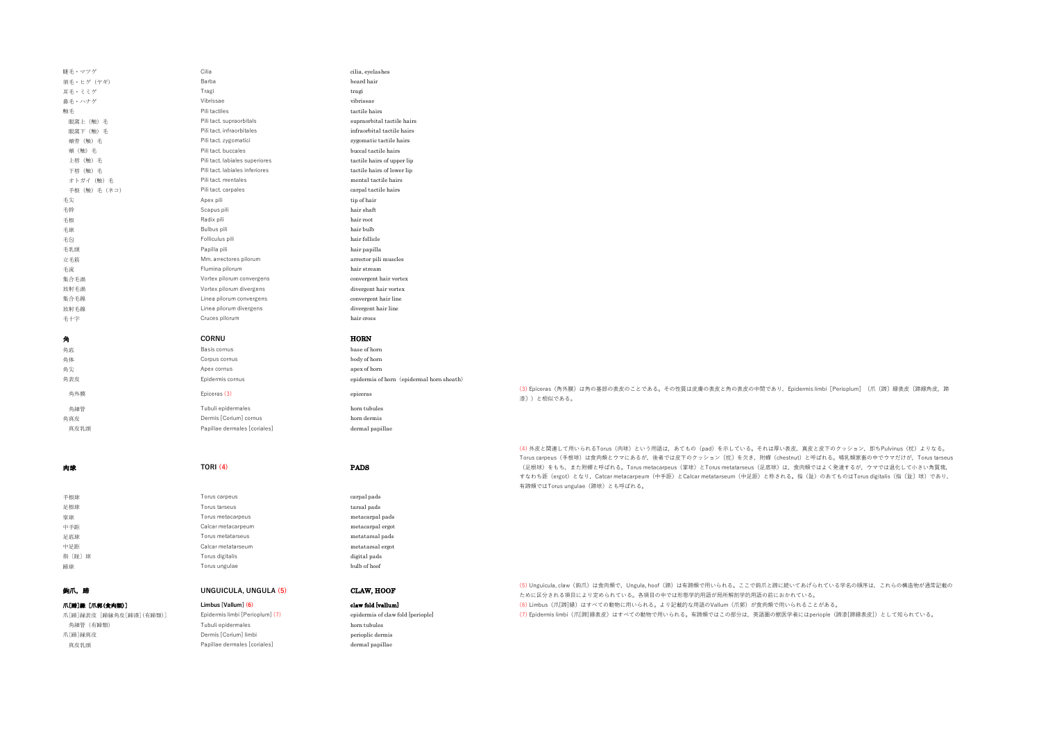| 睫毛・マツゲ                  | Cilia                           | cilia, eyelashes                                                                                         |                                                                                                                                                        |
|-------------------------|---------------------------------|----------------------------------------------------------------------------------------------------------|--------------------------------------------------------------------------------------------------------------------------------------------------------|
| 須毛・ヒゲ (ヤギ)              | Barba                           | beard hair                                                                                               |                                                                                                                                                        |
| 耳毛・ミミゲ                  | Tragi                           | tragi                                                                                                    |                                                                                                                                                        |
| 鼻毛・ハナゲ                  | Vibrissae                       | vibrissae                                                                                                |                                                                                                                                                        |
| 触毛                      | Pili tactiles                   | tactile hairs                                                                                            |                                                                                                                                                        |
| 眼窩上 (触) 毛               | Pili tact, supraorbitals        | supraorbital tactile hairs                                                                               |                                                                                                                                                        |
| 眼窩下 (触) 毛               | Pili tact, infraorbitales       | infraorbital tactile hairs                                                                               |                                                                                                                                                        |
| 婚骨 (触) 毛                | Pili tact. zygomatici           | zygomatic tactile hairs                                                                                  |                                                                                                                                                        |
| <b>頰 (触)</b> 毛          | Pili tact. buccales             | buccal tactile hairs                                                                                     |                                                                                                                                                        |
| 上唇 (触) 毛                | Pili tact, labiales superiores  | tactile hairs of upper lip                                                                               |                                                                                                                                                        |
| 下唇 (触) 毛                | Pili tact. labiales inferiores  | tactile hairs of lower lip                                                                               |                                                                                                                                                        |
| オトガイ (触) 毛              | Pili tact. mentales             | mental tactile hairs                                                                                     |                                                                                                                                                        |
| 手根 (触) 毛 (ネコ)           | Pili tact. carpales             | carpal tactile hairs                                                                                     |                                                                                                                                                        |
| 毛尖                      | Apex pili                       | tip of hair                                                                                              |                                                                                                                                                        |
| 毛幹                      | Scapus pili                     | hair shaft                                                                                               |                                                                                                                                                        |
| 毛根                      | Radix pili                      | hair root                                                                                                |                                                                                                                                                        |
| 毛球                      | Bulbus pili                     | hair bulb                                                                                                |                                                                                                                                                        |
| 毛包                      | Folliculus pili                 | hair follicle                                                                                            |                                                                                                                                                        |
| 毛乳頭                     | Papilla pili                    | hair papilla                                                                                             |                                                                                                                                                        |
| 立毛筋                     | Mm. arrectores pilorum          | arrector pili muscles                                                                                    |                                                                                                                                                        |
| 毛流                      | Flumina pilorum                 | hair stream                                                                                              |                                                                                                                                                        |
| 集合毛渦                    | Vortex pilorum convergens       | convergent hair vortex                                                                                   |                                                                                                                                                        |
| 放射毛渦                    | Vortex pilorum divergens        | divergent hair vortex                                                                                    |                                                                                                                                                        |
| 集合毛線                    | Linea pilorum convergens        | convergent hair line                                                                                     |                                                                                                                                                        |
| 放射毛線                    | Linea pilorum divergens         | divergent hair line                                                                                      |                                                                                                                                                        |
| 毛十字                     | Cruces pilorum                  | hair cross                                                                                               |                                                                                                                                                        |
|                         |                                 |                                                                                                          |                                                                                                                                                        |
| 角                       | CORNU                           | <b>HORN</b>                                                                                              |                                                                                                                                                        |
| 角底                      | Basis cornus                    | base of horn                                                                                             |                                                                                                                                                        |
| 角体                      | Corpus cornus                   | $\operatorname*{body}% \left( X\right) \equiv\operatorname*{poly}\left( \mathcal{N}\right)$ body of horn |                                                                                                                                                        |
| 角尖                      | Apex cornus                     | apex of horn                                                                                             |                                                                                                                                                        |
| 角表皮                     | Epidermis cornus                | epidermis of horn (epidermal horn sheath)                                                                |                                                                                                                                                        |
| 角外膜                     | Epiceras (3)                    | epiceras                                                                                                 | (3) Epiceras (角外膜) は角の基部の表皮のことである。その性質は皮膚の表皮と角の表皮の中間であり, Epidermis limbi [Perioplum] (爪〔蹄〕縁表皮〔蹄縁角皮, 蹄                                                  |
|                         |                                 |                                                                                                          | 漆)) と相似である。                                                                                                                                            |
| 角細管                     | Tubuli epidermales              | horn tubules                                                                                             |                                                                                                                                                        |
| 角真皮                     | Dermis [Corium] cornus          | horn dermis                                                                                              |                                                                                                                                                        |
| 真皮乳頭                    | Papillae dermales [coriales]    | dermal papillae                                                                                          |                                                                                                                                                        |
|                         |                                 |                                                                                                          |                                                                                                                                                        |
|                         |                                 |                                                                                                          | (4) 外皮と関連して用いられるTorus (肉球) という用語は、あてもの (pad) を示している。それは厚い表皮、真皮と皮下のクッション, 即ちPulvinus (枕) よりなる。                                                          |
|                         |                                 |                                                                                                          | Torus carpeus (手根球)は食肉類とウマにあるが、後者では皮下のクッション〔枕〕を欠き、附蟬 (chestnut) と呼ばれる。哺乳類家畜の中でウマだけが、Torus tarseus                                                      |
| 内球                      | <b>TORI (4)</b>                 | <b>PADS</b>                                                                                              | (足根球)をもち、また附蟬と呼ばれる。Torus metacarpeus (掌球) とTorus metatarseus (足底球) は、食肉類ではよく発達するが、ウマでは退化して小さい角質塊、                                                      |
|                         |                                 |                                                                                                          | すなわち距 (ergot) となり, Catcar metacarpeum (中手距) とCalcar metatarseum (中足距) と称される。指 (趾) のあてものはTorus digitalis (指 〔趾〕球〕であり,<br>有蹄類ではTorus ungulae (蹄球)とも呼ばれる。 |
|                         | Torus carpeus                   | carpal pads                                                                                              |                                                                                                                                                        |
| 手根球                     | Torus tarseus                   |                                                                                                          |                                                                                                                                                        |
| 足根球                     | Torus metacarpeus               | tarsal pads                                                                                              |                                                                                                                                                        |
| 掌球<br>中手距               | Calcar metacarpeum              | metacarpal pads<br>metacarpal ergot                                                                      |                                                                                                                                                        |
| 足底球                     | Torus metatarseus               | metatarsal pads                                                                                          |                                                                                                                                                        |
| 中足距                     | Calcar metatarseum              | metatarsal ergot                                                                                         |                                                                                                                                                        |
| 指〔趾〕球                   | Torus digitalis                 | digital pads                                                                                             |                                                                                                                                                        |
| 蹄球                      | Torus ungulae                   | bulb of hoof                                                                                             |                                                                                                                                                        |
|                         |                                 |                                                                                                          |                                                                                                                                                        |
|                         |                                 |                                                                                                          | (5) Unguicula, claw (鉤爪) は食肉類で, Ungula, hoof (蹄) は有蹄類で用いられる。ここで鉤爪と蹄に続いてあげられている学名の順序は, これらの構造物が通常記載の                                                    |
| 鉤爪,蹄                    | <b>UNGUICULA, UNGULA (5)</b>    | CLAW, HOOF                                                                                               | ために区分される項目により定められている。各項目の中では形態学的用語が局所解剖学的用語の前におかれている。                                                                                                  |
| 爪[蹄]縁 [爪郭(食肉類)]         | Limbus [Vallum] (6)             | claw fold [vallum]                                                                                       | (6) Limbus (爪[蹄]縁) はすべての動物に用いられる。より記載的な用語のVallum (爪郭) が食肉類で用いられることがある。                                                                                 |
| 爪[蹄]縁表皮 [蹄縁角皮[蹄漆](有蹄類)] | Epidermis limbi [Perioplum] (7) | epidermis of claw fold [periople]                                                                        | (7) Epidermis limbi (爪[蹄]縁表皮) はすべての動物で用いられる。有蹄類ではこの部分は、英語圏の獣医学者にはperiople (蹄漆[蹄縁表皮]) として知られている。                                                        |
| 角細管 (有蹄類)               | Tubuli epidermales              | horn tubules                                                                                             |                                                                                                                                                        |
| 爪[蹄]縁真皮                 | Dermis [Corium] limbi           | perioplic dermis                                                                                         |                                                                                                                                                        |
| 真皮乳頭                    | Papillae dermales [coriales]    | dermal papillae                                                                                          |                                                                                                                                                        |
|                         |                                 |                                                                                                          |                                                                                                                                                        |
|                         |                                 |                                                                                                          |                                                                                                                                                        |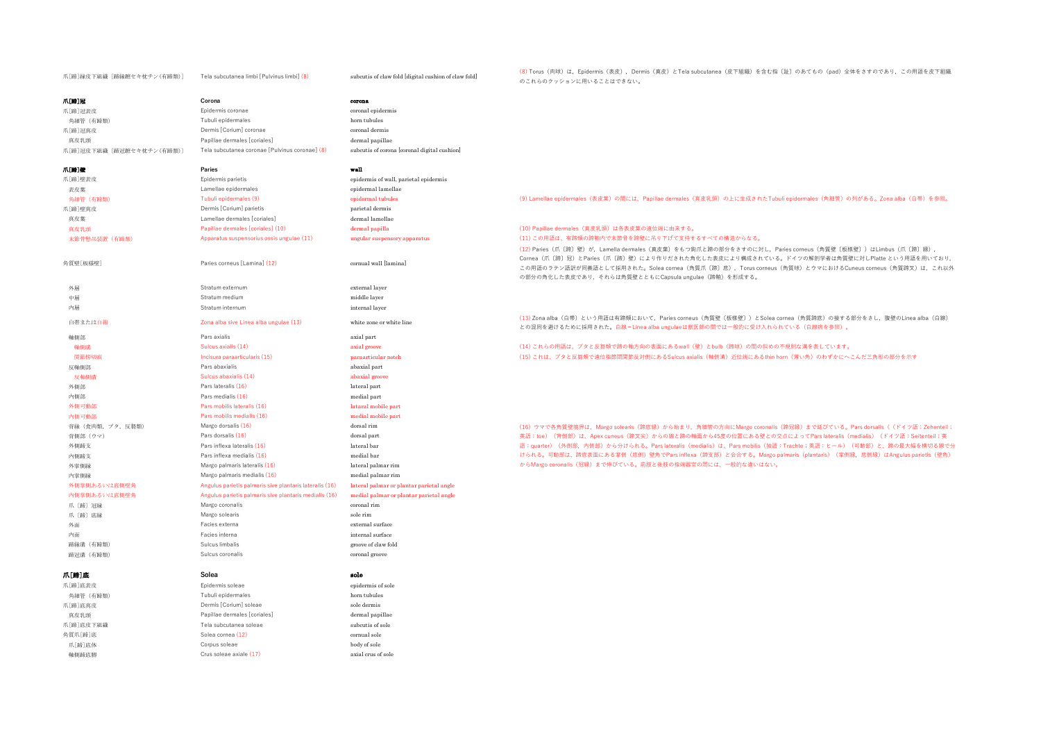| 爪[蹄]縁皮下組織 [蹄縁蹠セキ枕チン(有蹄類)] | Tela subcutanea limbi [Pulvinus limbi] (8)              | subcutis of claw fold [digital cushion of claw fold] | (8) Torus (肉球) は, Epidermis (表皮), Dermis (真皮) とTela subcutanea (皮下組織) を含む指〔趾〕のあてもの (pad) 全体をさすのであり, この用語を皮下組織<br>のこれらのクッションに用いることはできない。                                                                                                                                                                                                                                   |
|---------------------------|---------------------------------------------------------|------------------------------------------------------|---------------------------------------------------------------------------------------------------------------------------------------------------------------------------------------------------------------------------------------------------------------------------------------------------------------------------------------------------------------------------|
| 爪[蹄]冠                     | Corona                                                  | corona                                               |                                                                                                                                                                                                                                                                                                                                                                           |
| 爪[蹄]冠表皮                   | Epidermis coronae                                       | coronal epidermis                                    |                                                                                                                                                                                                                                                                                                                                                                           |
| 角細管 (有蹄類)                 | Tubuli epidermales                                      | horn tubules                                         |                                                                                                                                                                                                                                                                                                                                                                           |
| 爪[蹄]冠真皮                   | Dermis [Corium] coronae                                 | coronal dermis                                       |                                                                                                                                                                                                                                                                                                                                                                           |
| 真皮乳頭                      | Papillae dermales [coriales]                            | dermal papillae                                      |                                                                                                                                                                                                                                                                                                                                                                           |
| 爪[蹄]冠皮下組織〔蹄冠蹠セキ枕チン(有蹄類)〕  | Tela subcutanea coronae [Pulvinus coronae] (8)          | subcutis of corona [coronal digital cushion]         |                                                                                                                                                                                                                                                                                                                                                                           |
|                           |                                                         |                                                      |                                                                                                                                                                                                                                                                                                                                                                           |
| 爪[第]壁                     | Paries                                                  | wall                                                 |                                                                                                                                                                                                                                                                                                                                                                           |
| 爪[蹄]壁表皮                   | Epidermis parietis                                      | epidermis of wall, parietal epidermis                |                                                                                                                                                                                                                                                                                                                                                                           |
| 表皮葉                       | Lamellae epidermales                                    | epidermal lamellae                                   |                                                                                                                                                                                                                                                                                                                                                                           |
| 角細管 (有蹄類)                 | Tubuli epidermales (9)                                  | epidermal tubules                                    | (9) Lamellae epidermales (表皮葉) の間には、Papillae dermales (真皮乳頭) の上に生成されたTubuli epidermales (角細管) の列がある。Zona alba (白帯) を参照。                                                                                                                                                                                                                                                   |
| 爪[蹄]壁真皮                   | Dermis [Corium] parietis                                | parietal dermis                                      |                                                                                                                                                                                                                                                                                                                                                                           |
| 真皮葉                       | Lamellae dermales [coriales]                            | dermal lamellae                                      |                                                                                                                                                                                                                                                                                                                                                                           |
| 真皮乳頭                      | Papillae dermales [coriales] (10)                       | dermal papilla                                       | (10) Papillae dermales (真皮乳頭) は各表皮葉の遠位端に由来する。                                                                                                                                                                                                                                                                                                                             |
| 末節骨懸吊装置 (有蹄類)             | Apparatus suspensorius ossis ungulae (11)               | ungular suspensory apparatus                         | (11) この用語は、有蹄類の蹄鞘内で末節骨を蹄壁に吊り下げて支持するすべての構造からなる。                                                                                                                                                                                                                                                                                                                            |
| 角質壁[板様壁]                  | Paries corneus [Lamina] (12)                            | cornual wall [lamina]                                | (12) Paries (爪〔蹄〕壁)が, Lamella dermales (真皮葉) をもつ鉤爪と蹄の部分をさすのに対し, Paries corneus (角質壁〔板様壁〕) はLimbus (爪〔蹄〕縁),<br>Cornea (爪〔蹄〕冠)とParies (爪〔蹄〕壁)により作りだされた角化した表皮により構成されている。ドイツの解剖学者は角質壁に対しPlatte という用語を用いており、<br>この用語のラテン語訳が同義語として採用された。Solea cornea (角質爪〔蹄〕底), Torus corneus (角質球) とウマにおけるCuneus corneus (角質蹄叉) は, これ以外<br>の部分の角化した表皮であり、それらは角質壁とともにCapsula ungulae (蹄鞘)を形成する。 |
| 外層                        | Stratum externum                                        | external layer                                       |                                                                                                                                                                                                                                                                                                                                                                           |
| 中層                        | Stratum medium                                          | middle layer                                         |                                                                                                                                                                                                                                                                                                                                                                           |
| 内層                        | Stratum internum                                        | internal layer                                       |                                                                                                                                                                                                                                                                                                                                                                           |
| 白帯または白線                   | Zona alba sive Linea alba ungulae (13)                  | white zone or white line                             | (13) Zona alba (白帯) という用語は有蹄類において、Paries corneus (角質壁〔板様壁〕) とSolea cornea (角質蹄底) の接する部分をさし、腹壁のLinea alba (白線)<br>との混同を避けるために採用された。白線=Linea alba ungulaeは獣医師の間では一般的に受け入れられている(白線病を参照)。                                                                                                                                                                                     |
| 軸側部                       | Pars axialis                                            | axial part                                           |                                                                                                                                                                                                                                                                                                                                                                           |
| 軸側溝                       | Sulcus axialis (14)                                     | axial groove                                         | (14) これらの用語は、プタと反芻類で蹄の軸方向の表面にあるwall (壁) とbulb (蹄球) の間の斜めの不規則な溝を表しています。                                                                                                                                                                                                                                                                                                    |
| 関節傍切痕                     | Incisura paraarticularis (15)                           | paraarticular notch                                  | (15) これは、プタと反芻類で遠位指節間関節反対側にあるSulcus axialis (軸側溝) 近位端にあるthin horn (薄い角) のわずかにへこんだ三角形の部分を示す                                                                                                                                                                                                                                                                                |
| 反軸側部                      | Pars abaxialis                                          | abaxial part                                         |                                                                                                                                                                                                                                                                                                                                                                           |
| 反軸側溝                      | Sulcus abaxialis (14)                                   | abaxial groove                                       |                                                                                                                                                                                                                                                                                                                                                                           |
| 外側部                       | Pars lateralis (16)                                     | lateral part                                         |                                                                                                                                                                                                                                                                                                                                                                           |
| 内侧部                       | Pars medialis (16)                                      | medial part                                          |                                                                                                                                                                                                                                                                                                                                                                           |
| 外侧可動部                     | Pars mobilis lateralis (16)                             | lataral mobile part                                  |                                                                                                                                                                                                                                                                                                                                                                           |
| 内侧可動部                     | Pars mobilis medialis (16)                              | medial mobile part                                   |                                                                                                                                                                                                                                                                                                                                                                           |
| 背縁 (食肉類, ブタ, 反芻類)         | Margo dorsalis (16)                                     | dorsal rim                                           | (16) ウマで各角質壁境界は, Margo solearis (蹄底縁) から始まり, 角細管の方向にMargo coronalis (蹄冠縁) まで延びている。Pars dorsalis ( (ドイツ語:Zehenteil;                                                                                                                                                                                                                                                        |
| 背側部 (ウマ)                  | Pars dorsalis (16)                                      | dorsal part                                          | 英語: toe) (背側部)は、Apex cuneus (蹄叉尖)からの線と蹄の軸面から45度の位置にある壁との交点によってPars lateralis (medialis) (ドイツ語: Seitenteil; 英                                                                                                                                                                                                                                                              |
| 外側蹄支                      | Pars inflexa lateralis (16)                             | lateral bar                                          | 語:quarter)(外側部,内側部)から分けられる。Pars lateralis(medialis)は、Pars mobilis(独語:Trachte;英語:ヒール)(可動部)と、蹄の最大幅を横切る線で分                                                                                                                                                                                                                                                                   |
| 内侧蹄支                      | Pars inflexa medialis (16)                              | medial bar                                           | けられる。可動部は、蹄底表面にある掌側(底側)壁角でPars inflexa(蹄支部)と会合する。Margo palmaris(plantaris)(掌側縁,底側縁)はAngulus parietis(壁角)                                                                                                                                                                                                                                                                  |
| 外掌側縁                      | Margo palmaris lateralis (16)                           | lateral palmar rim                                   | からMargo coronalis (冠縁) まで伸びている。前肢と後肢の指端器官の間には、一般的な違いはない。                                                                                                                                                                                                                                                                                                                  |
| 内掌側縁                      | Margo palmaris medialis (16)                            | medial palmar rim                                    |                                                                                                                                                                                                                                                                                                                                                                           |
| 外側掌側あるいは底側壁角              | Angulus parietis palmaris sive plantaris lateralis (16) | lateral palmar or plantar parietal angle             |                                                                                                                                                                                                                                                                                                                                                                           |
| 内側掌側あるいは底側壁角              | Angulus parietis palmaris sive plantaris medialis (16)  | medial palmar or plantar parietal angle              |                                                                                                                                                                                                                                                                                                                                                                           |
| 爪 [蹄] 冠縁                  | Margo coronalis                                         | coronal rim                                          |                                                                                                                                                                                                                                                                                                                                                                           |
| 爪 [蹄] 底縁                  | Margo solearis                                          | sole rim                                             |                                                                                                                                                                                                                                                                                                                                                                           |
| 外面                        | Facies externa                                          | external surface                                     |                                                                                                                                                                                                                                                                                                                                                                           |
| 内面                        | Facies interna                                          | internal surface                                     |                                                                                                                                                                                                                                                                                                                                                                           |
| 蹄縁溝 (有蹄類)                 | Sulcus limbalis                                         | groove of claw fold                                  |                                                                                                                                                                                                                                                                                                                                                                           |
| 蹄冠溝 (有蹄類)                 | Sulcus coronalis                                        | coronal groove                                       |                                                                                                                                                                                                                                                                                                                                                                           |
|                           |                                                         |                                                      |                                                                                                                                                                                                                                                                                                                                                                           |
| 爪[蹄]底                     | Solea                                                   | sole                                                 |                                                                                                                                                                                                                                                                                                                                                                           |
| 爪[蹄]底表皮                   | Epidermis soleae                                        | epidermis of sole                                    |                                                                                                                                                                                                                                                                                                                                                                           |
| 角細管 (有蹄類)                 | Tubuli epidermales                                      | horn tubules                                         |                                                                                                                                                                                                                                                                                                                                                                           |
| 爪[蹄]底真皮                   | Dermis [Corium] soleae                                  | sole dermis                                          |                                                                                                                                                                                                                                                                                                                                                                           |
| 真皮乳頭                      | Papillae dermales [coriales]                            | dermal papillae                                      |                                                                                                                                                                                                                                                                                                                                                                           |
| 爪[蹄]底皮下組織                 | Tela subcutanea soleae                                  | subcutis of sole                                     |                                                                                                                                                                                                                                                                                                                                                                           |
| 角質爪[蹄]底                   | Solea cornea (12)                                       | cornual sole                                         |                                                                                                                                                                                                                                                                                                                                                                           |
| 爪[蹄]底体                    | Corpus soleae                                           | body of sole                                         |                                                                                                                                                                                                                                                                                                                                                                           |
| 軸側蹄底脚                     | Crus soleae axiale (17)                                 | axial crus of sole                                   |                                                                                                                                                                                                                                                                                                                                                                           |
|                           |                                                         |                                                      |                                                                                                                                                                                                                                                                                                                                                                           |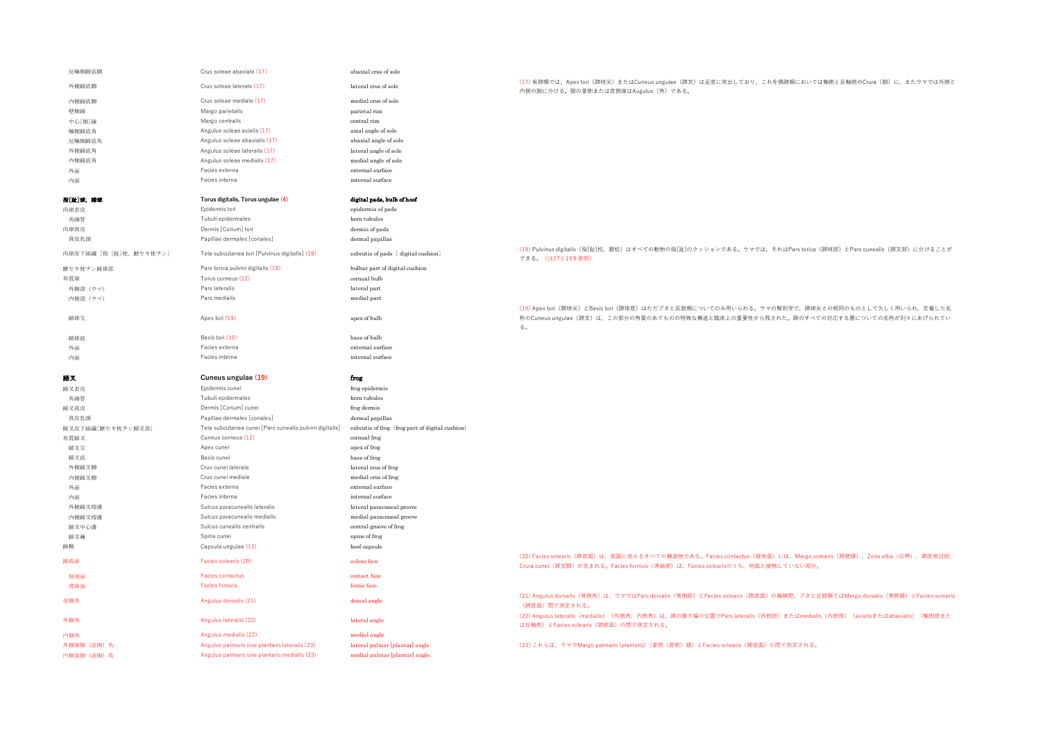| 反軸側蹄底脚                  | Crus soleae abaxiale (17)                               | abaxial crus of sole                            |                                                                                                                                                                                                        |
|-------------------------|---------------------------------------------------------|-------------------------------------------------|--------------------------------------------------------------------------------------------------------------------------------------------------------------------------------------------------------|
| 外側蹄底脚                   | Crus soleae laterale (17)                               | lateral crus of sole                            | (17) 有蹄類では、Apex tori (蹄球尖) またはCuneus ungulae (蹄叉) は足底に突出しており、これを偶蹄類においては軸側と反軸側のCrura (脚) に、またウマでは外側と<br>内側の脚に分ける。脚の掌側または底側端はAugulus (角) である。                                                           |
| 内侧蹄底脚                   | Crus soleae mediale (17)                                | medial crus of sole                             |                                                                                                                                                                                                        |
| 壁側縁                     | Margo parietalis                                        | parietal rim                                    |                                                                                                                                                                                                        |
| 中心[側]縁                  | Margo centralis                                         | central rim                                     |                                                                                                                                                                                                        |
| 軸側蹄底角                   | Angulus soleae axialis (17)                             | axial angle of sole                             |                                                                                                                                                                                                        |
| 反軸側蹄底角                  | Angulus soleae abaxialis (17)                           | abaxial angle of sole                           |                                                                                                                                                                                                        |
| 外側蹄底角                   | Angulus soleae lateralis (17)                           | lateral angle of sole                           |                                                                                                                                                                                                        |
| 内侧蹄底角                   | Angulus soleae medialis (17)                            | medial angle of sole                            |                                                                                                                                                                                                        |
| 外面                      | Facies externa                                          | external surface                                |                                                                                                                                                                                                        |
| 内面                      | Facies interna                                          | internal surface                                |                                                                                                                                                                                                        |
| 指[趾]球,蹄球                | Torus digitalis, Torus ungulae (4)                      | digital pads, bulb of hoof                      |                                                                                                                                                                                                        |
| 肉球表皮                    | Epidermis tori                                          | epidermis of pads                               |                                                                                                                                                                                                        |
| 角細管                     | Tubuli epidermales                                      | horn tubules                                    |                                                                                                                                                                                                        |
| 肉球真皮                    | Dermis [Corium] tori                                    | dermis of pads                                  |                                                                                                                                                                                                        |
| 真皮乳頭                    | Papillae dermales [coriales]                            | dermal papillae                                 |                                                                                                                                                                                                        |
| 肉球皮下組織 [指 [趾]枕, 蹠セキ枕チン] | Tela subcutanea tori [Pulvinus digitalis] (18)          | subcutis of pads [digital cushion]              | (18) Pulvinus digitalis (指[趾]枕, 蹠枕) はすべての動物の指[趾]のクッションである。ウマでは, それはPars torica (蹄球部) とPars cunealis (蹄叉部) に分けることが<br>できる。(注17と19を参照)                                                                   |
| 蹠セキ枕チン蹄球部               | Pars torica pulvini digitalis (18)                      | bulbar part of digital cushion                  |                                                                                                                                                                                                        |
| 角質球                     | Torus corneus (12)                                      | cornual bulb                                    |                                                                                                                                                                                                        |
| 外側部 (ウマ)                | Pars lateralis                                          | lateral part                                    |                                                                                                                                                                                                        |
|                         | Pars medialis                                           |                                                 |                                                                                                                                                                                                        |
| 内側部 (ウマ)                |                                                         | medial part                                     |                                                                                                                                                                                                        |
| 蹄球尖                     | Apex tori (19)                                          | apex of bulb                                    | (19) Apex tori (蹄球尖) とBasis tori (蹄球底) はただプタと反芻類についてのみ用いられる。ウマの解剖学で, 蹄球尖との相同のものとして久しく用いられ, 定着した名<br>称のCuneus ungulae (蹄叉) は、この部分の角質のあてものの特殊な構造と臨床上の重要性から残された。蹄のすべての対応する層についての名称が別々にあげられてい<br>る。        |
| 蹄球底                     | Basis tori (19)                                         | base of bulb                                    |                                                                                                                                                                                                        |
| 外面                      | Facies externa                                          | external surface                                |                                                                                                                                                                                                        |
| 内面                      | Facies interna                                          | internal surface                                |                                                                                                                                                                                                        |
|                         |                                                         |                                                 |                                                                                                                                                                                                        |
|                         |                                                         |                                                 |                                                                                                                                                                                                        |
| 購叉                      | Cuneus ungulae (19)                                     | frog                                            |                                                                                                                                                                                                        |
| 蹄叉表皮                    | Epidermis cunei                                         | frog epidermis                                  |                                                                                                                                                                                                        |
| 角細管                     | Tubuli epidermales                                      | horn tubules                                    |                                                                                                                                                                                                        |
| 蹄叉真皮                    | Dermis [Corium] cunei                                   | frog dermis                                     |                                                                                                                                                                                                        |
| 真皮乳頭                    | Papillae dermales [coriales]                            | dermal papillae                                 |                                                                                                                                                                                                        |
| 蹄叉皮下組織[蹠セキ枕チン蹄叉部]       | Tela subcutanea cunei [Pars cunealis pulvini digitalis] | subcutis of frog (frog part of digital cushion) |                                                                                                                                                                                                        |
| 角質蹄叉                    | Cuneus corneus (12)                                     | cornual frog                                    |                                                                                                                                                                                                        |
| 蹄叉尖                     | Apex cunei                                              | apex of frog                                    |                                                                                                                                                                                                        |
| 蹄叉底                     | Basis cunei                                             | base of frog                                    |                                                                                                                                                                                                        |
| 外側蹄叉脚                   | Crus cunei laterale                                     | lateral crus of frog                            |                                                                                                                                                                                                        |
| 内侧蹄叉脚                   | Crus cunei mediale                                      | medial crus of frog                             |                                                                                                                                                                                                        |
| 外面                      | Facies externa                                          | external surface                                |                                                                                                                                                                                                        |
| 内面                      | Facies interna                                          | internal surface                                |                                                                                                                                                                                                        |
| 外側蹄叉傍溝                  | Sulcus paracunealis lateralis                           | lateral paracuneal groove                       |                                                                                                                                                                                                        |
| 内侧蹄叉傍溝                  | Sulcus paracunealis medialis                            | medial paracuneal groove                        |                                                                                                                                                                                                        |
| 蹄叉中心溝                   | Sulcus cunealis centralis                               | central groove of frog                          |                                                                                                                                                                                                        |
| 蹄叉棘                     | Spina cunei                                             |                                                 |                                                                                                                                                                                                        |
|                         |                                                         | spine of frog                                   |                                                                                                                                                                                                        |
| 蹄鞘<br>蹄底面               | Capsula ungulae (12)<br>Facies solearis (20)            | hoof capsule<br>solear face                     | (20) Facies solearis (蹄底面) は、底面に見えるすべての構造物である。Facies contactus (接地面) には、Margo solearis (蹄壁縁) 、Zona alba (白帯) 、蹄底周辺部、<br>Crura cunei (蹄叉脚)が含まれる。Facies fornicis (湾曲部)は、Facies solearisのうち、地面と接触していない部分。 |
| 接地面                     | <b>Facies contactus</b>                                 | contact face                                    |                                                                                                                                                                                                        |
|                         | <b>Facies fornicis</b>                                  |                                                 |                                                                                                                                                                                                        |
| 湾曲面<br>背側角              | Angulus dorsalis (21)                                   | fornic face<br>dorsal angle                     | (21) Angulus dorsalis(背側角)は、ウマではPars dorsalis(背側部)とFacies solearis(蹄底面)の軸線間、ブタと反芻類ではMargo dorsalis(背側縁)とFacies solearis<br>(蹄底面) 間で測定される。                                                              |
| 外侧角                     | Angulus lateralis (22)                                  | lateral angle                                   | (22) Angulus lateralis (medialis) (外側角, 内側角) は、蹄の最大幅の位置でPars lateralis (外側部) またはmedialis (内側部) (axialisまたはabaxialis) (軸側部また<br>は反軸側)とFacies solearis (蹄底面)の間で測定される。                                    |
| 内侧角                     | Angulus medialis (22)                                   | medial angle                                    |                                                                                                                                                                                                        |
| 外側掌側 (底側) 角             | Angulus palmaris sive plantaris lateralis (23)          | lateral palmar [plantar] angle                  | (23) これらは、ウマでMargo palmaris (plantaris) (掌側 (底側) 縁) とFacies solearis (蹄底面) の間で測定される。                                                                                                                   |